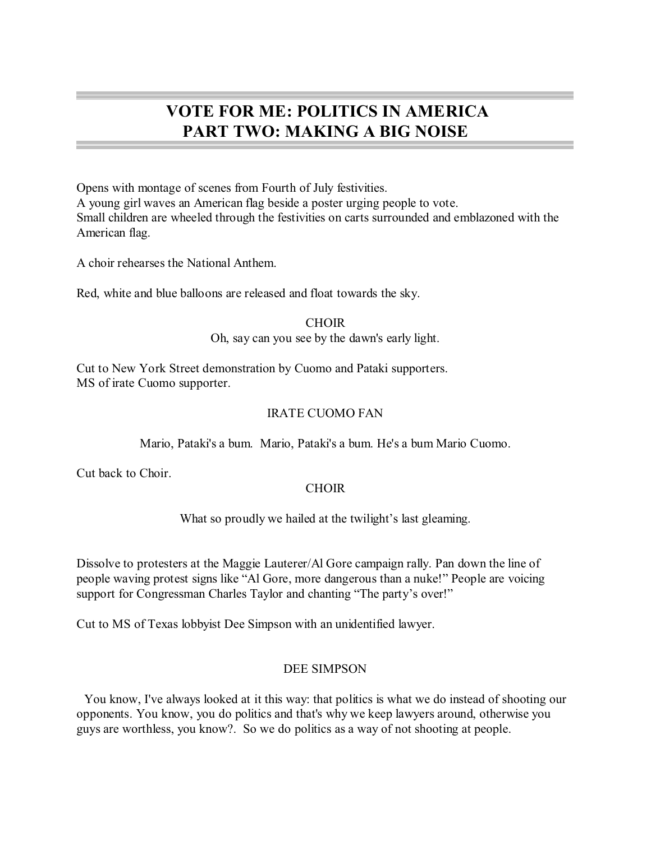# **VOTE FOR ME: POLITICS IN AMERICA PART TWO: MAKING A BIG NOISE**

Opens with montage of scenes from Fourth of July festivities. A young girl waves an American flag beside a poster urging people to vote. Small children are wheeled through the festivities on carts surrounded and emblazoned with the American flag.

A choir rehearses the National Anthem.

Red, white and blue balloons are released and float towards the sky.

**CHOIR** Oh, say can you see by the dawn's early light.

Cut to New York Street demonstration by Cuomo and Pataki supporters. MS of irate Cuomo supporter.

# IRATE CUOMO FAN

Mario, Pataki's a bum. Mario, Pataki's a bum. He's a bum Mario Cuomo.

Cut back to Choir.

# **CHOIR**

What so proudly we hailed at the twilight's last gleaming.

Dissolve to protesters at the Maggie Lauterer/Al Gore campaign rally. Pan down the line of people waving protest signs like "Al Gore, more dangerous than a nuke!" People are voicing support for Congressman Charles Taylor and chanting "The party's over!"

Cut to MS of Texas lobbyist Dee Simpson with an unidentified lawyer.

# DEE SIMPSON

You know, I've always looked at it this way: that politics is what we do instead of shooting our opponents. You know, you do politics and that's why we keep lawyers around, otherwise you guys are worthless, you know?. So we do politics as a way of not shooting at people.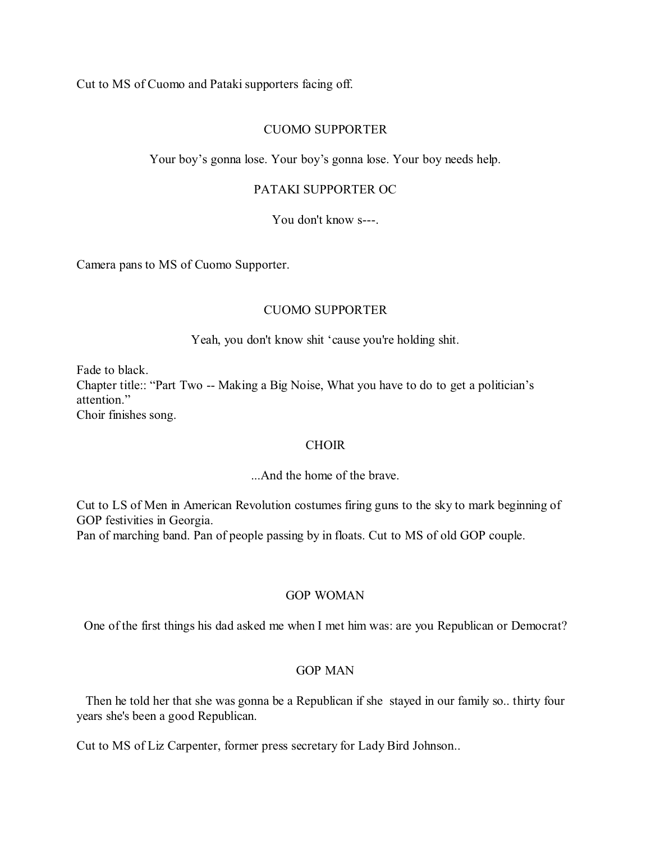Cut to MS of Cuomo and Pataki supporters facing off.

### CUOMO SUPPORTER

Your boy's gonna lose. Your boy's gonna lose. Your boy needs help.

### PATAKI SUPPORTER OC

You don't know s---.

Camera pans to MS of Cuomo Supporter.

# CUOMO SUPPORTER

Yeah, you don't know shit 'cause you're holding shit.

Fade to black. Chapter title:: "Part Two -- Making a Big Noise, What you have to do to get a politician's attention." Choir finishes song.

### **CHOIR**

...And the home of the brave.

Cut to LS of Men in American Revolution costumes firing guns to the sky to mark beginning of GOP festivities in Georgia. Pan of marching band. Pan of people passing by in floats. Cut to MS of old GOP couple.

# GOP WOMAN

One of the first things his dad asked me when I met him was: are you Republican or Democrat?

### GOP MAN

Then he told her that she was gonna be a Republican if she stayed in our family so.. thirty four years she's been a good Republican.

Cut to MS of Liz Carpenter, former press secretary for Lady Bird Johnson..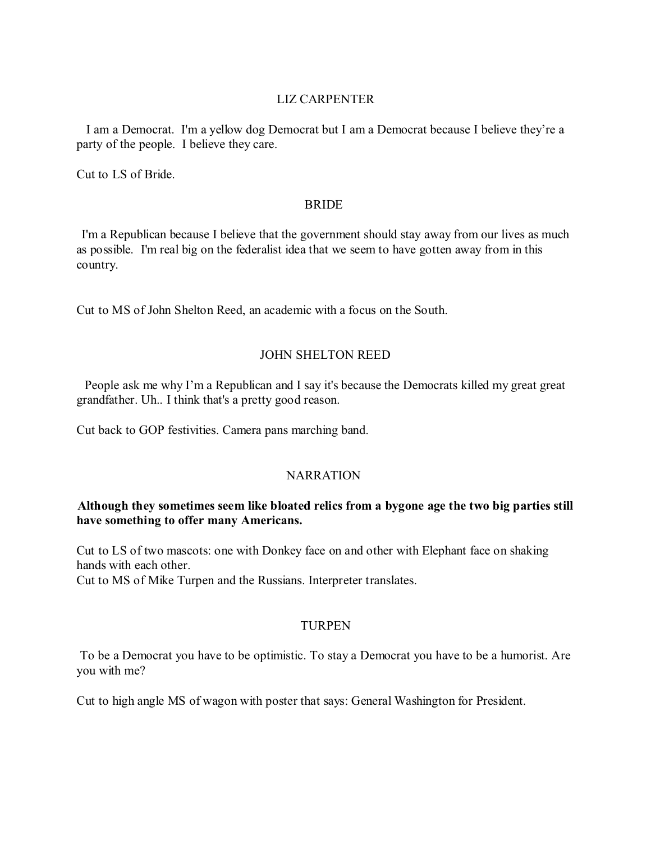# LIZ CARPENTER

I am a Democrat. I'm a yellow dog Democrat but I am a Democrat because I believe they're a party of the people. I believe they care.

Cut to LS of Bride.

### BRIDE

I'm a Republican because I believe that the government should stay away from our lives as much as possible. I'm real big on the federalist idea that we seem to have gotten away from in this country.

Cut to MS of John Shelton Reed, an academic with a focus on the South.

# JOHN SHELTON REED

People ask me why I'm a Republican and I say it's because the Democrats killed my great great grandfather. Uh.. I think that's a pretty good reason.

Cut back to GOP festivities. Camera pans marching band.

# NARRATION

# **Although they sometimes seem like bloated relics from a bygone age the two big parties still have something to offer many Americans.**

Cut to LS of two mascots: one with Donkey face on and other with Elephant face on shaking hands with each other.

Cut to MS of Mike Turpen and the Russians. Interpreter translates.

# TURPEN

To be a Democrat you have to be optimistic. To stay a Democrat you have to be a humorist. Are you with me?

Cut to high angle MS of wagon with poster that says: General Washington for President.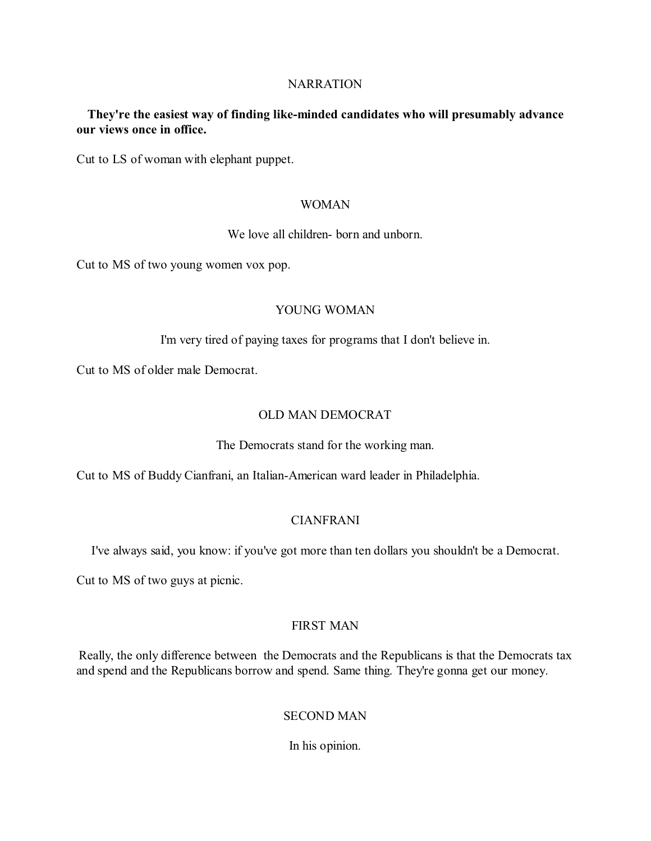### **NARRATION**

# **They're the easiest way of finding like-minded candidates who will presumably advance our views once in office.**

Cut to LS of woman with elephant puppet.

### WOMAN

We love all children- born and unborn.

Cut to MS of two young women vox pop.

# YOUNG WOMAN

I'm very tired of paying taxes for programs that I don't believe in.

Cut to MS of older male Democrat.

### OLD MAN DEMOCRAT

The Democrats stand for the working man.

Cut to MS of Buddy Cianfrani, an Italian-American ward leader in Philadelphia.

# CIANFRANI

I've always said, you know: if you've got more than ten dollars you shouldn't be a Democrat.

Cut to MS of two guys at picnic.

# FIRST MAN

Really, the only difference between the Democrats and the Republicans is that the Democrats tax and spend and the Republicans borrow and spend. Same thing. They're gonna get our money.

# SECOND MAN

In his opinion.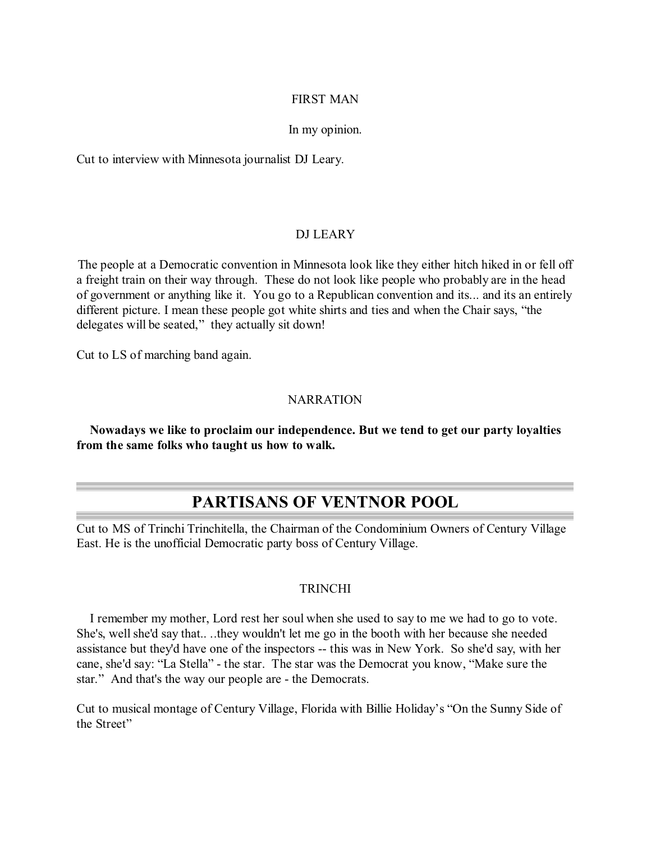# FIRST MAN

### In my opinion.

Cut to interview with Minnesota journalist DJ Leary.

# DJ LEARY

The people at a Democratic convention in Minnesota look like they either hitch hiked in or fell off a freight train on their way through. These do not look like people who probably are in the head of government or anything like it. You go to a Republican convention and its... and its an entirely different picture. I mean these people got white shirts and ties and when the Chair says, "the delegates will be seated," they actually sit down!

Cut to LS of marching band again.

### NARRATION

**Nowadays we like to proclaim our independence. But we tend to get our party loyalties from the same folks who taught us how to walk.**

# **PARTISANS OF VENTNOR POOL**

Cut to MS of Trinchi Trinchitella, the Chairman of the Condominium Owners of Century Village East. He is the unofficial Democratic party boss of Century Village.

### TRINCHI

I remember my mother, Lord rest her soul when she used to say to me we had to go to vote. She's, well she'd say that.. ..they wouldn't let me go in the booth with her because she needed assistance but they'd have one of the inspectors -- this was in New York. So she'd say, with her cane, she'd say: "La Stella" - the star. The star was the Democrat you know, "Make sure the star." And that's the way our people are - the Democrats.

Cut to musical montage of Century Village, Florida with Billie Holiday's "On the Sunny Side of the Street"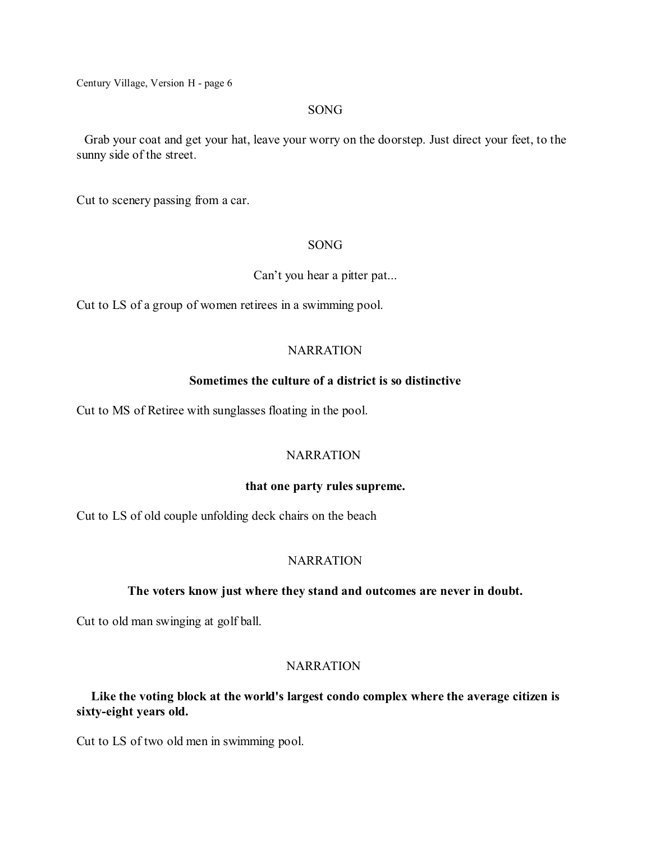#### SONG

Grab your coat and get your hat, leave your worry on the doorstep. Just direct your feet, to the sunny side of the street.

Cut to scenery passing from a car.

### SONG

### Can't you hear a pitter pat...

Cut to LS of a group of women retirees in a swimming pool.

### **NARRATION**

### **Sometimes the culture of a district is so distinctive**

Cut to MS of Retiree with sunglasses floating in the pool.

# **NARRATION**

### **that one party rules supreme.**

Cut to LS of old couple unfolding deck chairs on the beach

### **NARRATION**

### **The voters know just where they stand and outcomes are never in doubt.**

Cut to old man swinging at golf ball.

# **NARRATION**

# **Like the voting block at the world's largest condo complex where the average citizen is sixty-eight years old.**

Cut to LS of two old men in swimming pool.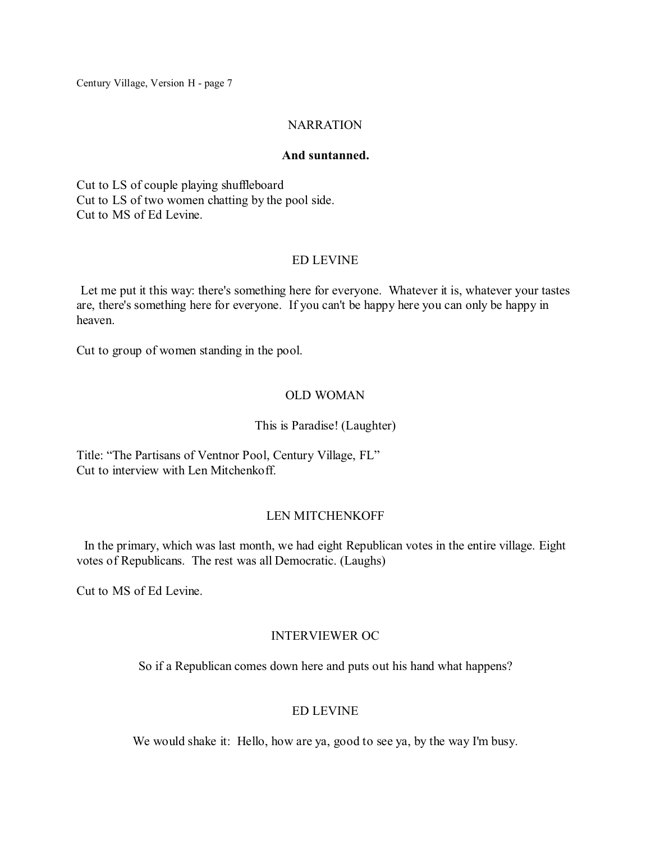# **NARRATION**

### **And suntanned.**

Cut to LS of couple playing shuffleboard Cut to LS of two women chatting by the pool side. Cut to MS of Ed Levine.

# ED LEVINE

Let me put it this way: there's something here for everyone. Whatever it is, whatever your tastes are, there's something here for everyone. If you can't be happy here you can only be happy in heaven.

Cut to group of women standing in the pool.

# OLD WOMAN

# This is Paradise! (Laughter)

Title: "The Partisans of Ventnor Pool, Century Village, FL" Cut to interview with Len Mitchenkoff.

# LEN MITCHENKOFF

In the primary, which was last month, we had eight Republican votes in the entire village. Eight votes of Republicans. The rest was all Democratic. (Laughs)

Cut to MS of Ed Levine.

# INTERVIEWER OC

So if a Republican comes down here and puts out his hand what happens?

# ED LEVINE

We would shake it: Hello, how are ya, good to see ya, by the way I'm busy.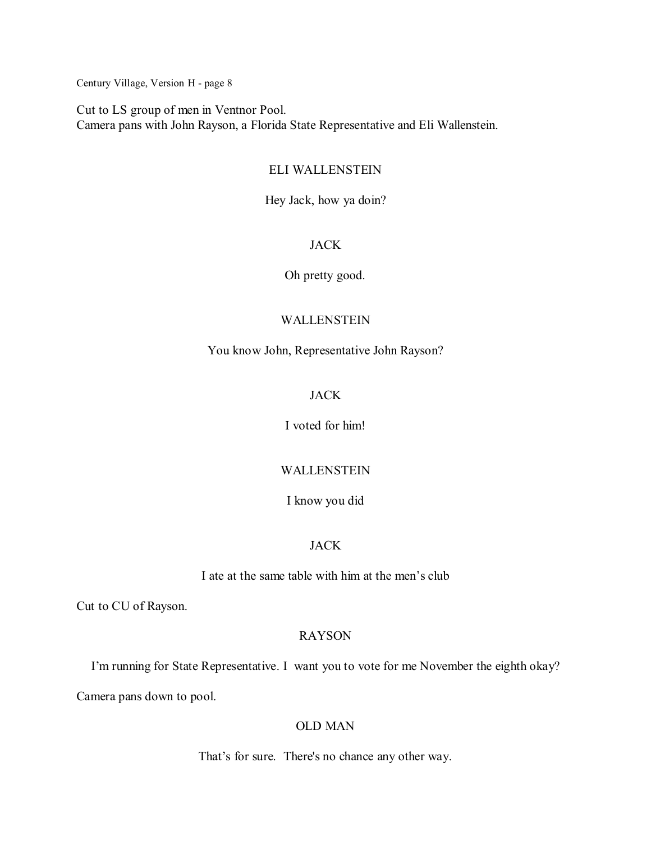Cut to LS group of men in Ventnor Pool. Camera pans with John Rayson, a Florida State Representative and Eli Wallenstein.

# ELI WALLENSTEIN

Hey Jack, how ya doin?

# JACK

Oh pretty good.

# WALLENSTEIN

You know John, Representative John Rayson?

# JACK

I voted for him!

# WALLENSTEIN

### I know you did

# JACK

I ate at the same table with him at the men's club

Cut to CU of Rayson.

# RAYSON

I'm running for State Representative. I want you to vote for me November the eighth okay?

Camera pans down to pool.

# OLD MAN

That's for sure. There's no chance any other way.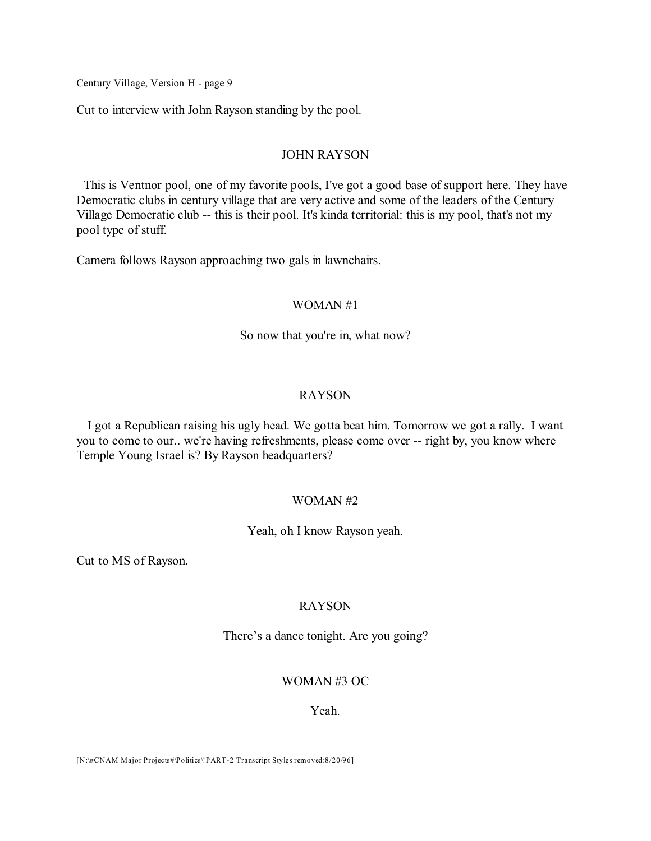Cut to interview with John Rayson standing by the pool.

#### JOHN RAYSON

This is Ventnor pool, one of my favorite pools, I've got a good base of support here. They have Democratic clubs in century village that are very active and some of the leaders of the Century Village Democratic club -- this is their pool. It's kinda territorial: this is my pool, that's not my pool type of stuff.

Camera follows Rayson approaching two gals in lawnchairs.

### WOMAN #1

#### So now that you're in, what now?

### RAYSON

I got a Republican raising his ugly head. We gotta beat him. Tomorrow we got a rally. I want you to come to our.. we're having refreshments, please come over -- right by, you know where Temple Young Israel is? By Rayson headquarters?

### WOMAN #2

Yeah, oh I know Rayson yeah.

Cut to MS of Rayson.

### RAYSON

There's a dance tonight. Are you going?

### WOMAN #3 OC

#### Yeah.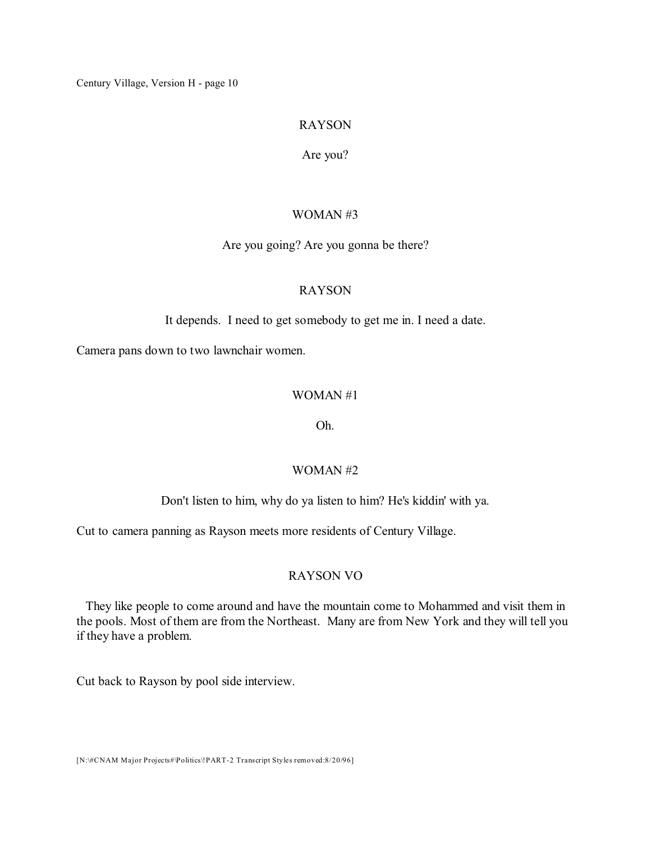# RAYSON

### Are you?

### WOMAN #3

### Are you going? Are you gonna be there?

### RAYSON

It depends. I need to get somebody to get me in. I need a date.

Camera pans down to two lawnchair women.

### WOMAN #1

### Oh.

### WOMAN #2

### Don't listen to him, why do ya listen to him? He's kiddin' with ya.

Cut to camera panning as Rayson meets more residents of Century Village.

### RAYSON VO

They like people to come around and have the mountain come to Mohammed and visit them in the pools. Most of them are from the Northeast. Many are from New York and they will tell you if they have a problem.

Cut back to Rayson by pool side interview.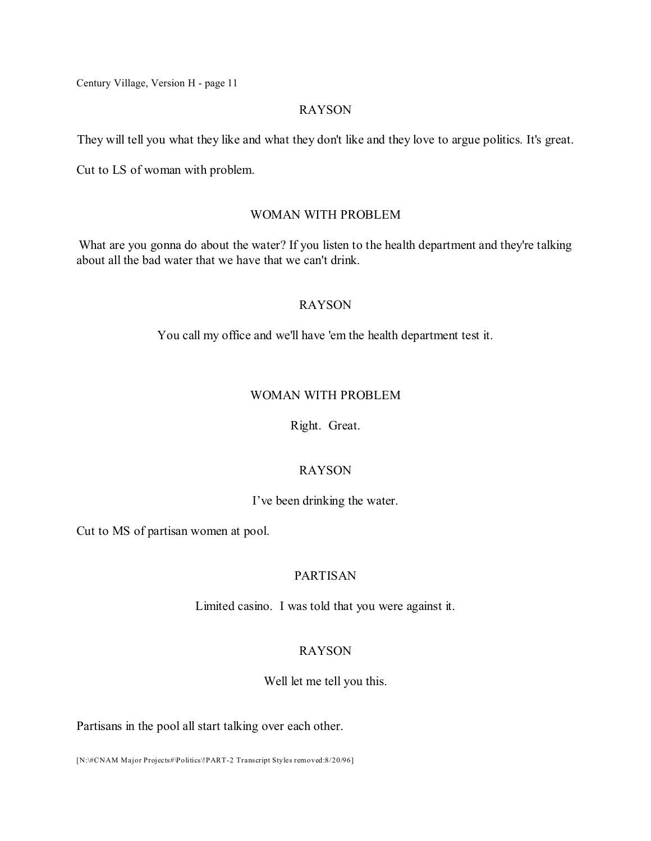### RAYSON

They will tell you what they like and what they don't like and they love to argue politics. It's great.

Cut to LS of woman with problem.

# WOMAN WITH PROBLEM

What are you gonna do about the water? If you listen to the health department and they're talking about all the bad water that we have that we can't drink.

# RAYSON

You call my office and we'll have 'em the health department test it.

# WOMAN WITH PROBLEM

Right. Great.

# RAYSON

# I've been drinking the water.

Cut to MS of partisan women at pool.

# PARTISAN

Limited casino. I was told that you were against it.

# RAYSON

Well let me tell you this.

Partisans in the pool all start talking over each other.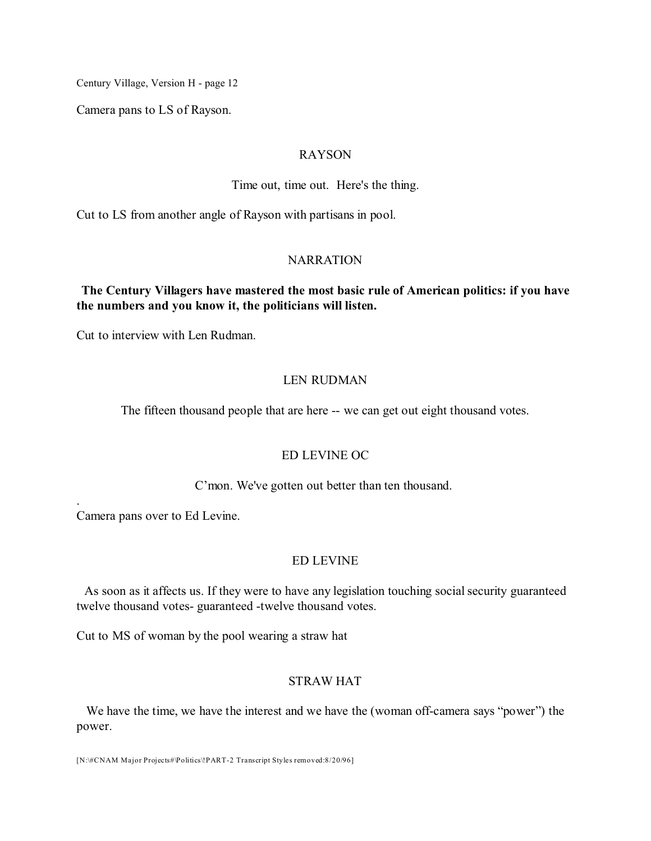Camera pans to LS of Rayson.

#### RAYSON

Time out, time out. Here's the thing.

Cut to LS from another angle of Rayson with partisans in pool.

# NARRATION

# **The Century Villagers have mastered the most basic rule of American politics: if you have the numbers and you know it, the politicians will listen.**

Cut to interview with Len Rudman.

# LEN RUDMAN

The fifteen thousand people that are here -- we can get out eight thousand votes.

# ED LEVINE OC

C'mon. We've gotten out better than ten thousand.

Camera pans over to Ed Levine.

.

# ED LEVINE

As soon as it affects us. If they were to have any legislation touching social security guaranteed twelve thousand votes- guaranteed -twelve thousand votes.

Cut to MS of woman by the pool wearing a straw hat

# STRAW HAT

We have the time, we have the interest and we have the (woman off-camera says "power") the power.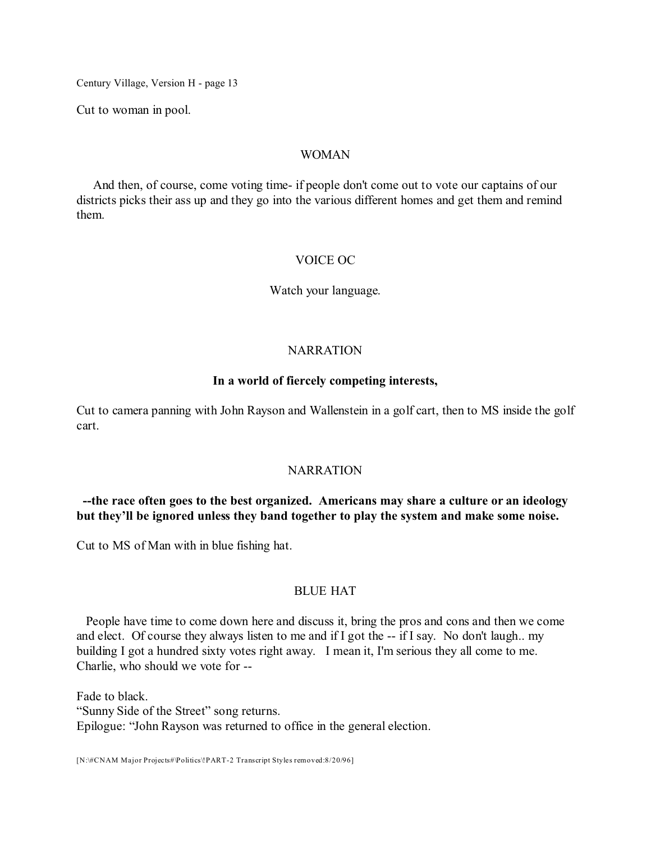Cut to woman in pool.

### WOMAN

And then, of course, come voting time- if people don't come out to vote our captains of our districts picks their ass up and they go into the various different homes and get them and remind them.

### VOICE OC

Watch your language.

### **NARRATION**

### **In a world of fiercely competing interests,**

Cut to camera panning with John Rayson and Wallenstein in a golf cart, then to MS inside the golf cart.

### **NARRATION**

# **--the race often goes to the best organized. Americans may share a culture or an ideology but they'll be ignored unless they band together to play the system and make some noise.**

Cut to MS of Man with in blue fishing hat.

### BLUE HAT

People have time to come down here and discuss it, bring the pros and cons and then we come and elect. Of course they always listen to me and if I got the -- if I say. No don't laugh.. my building I got a hundred sixty votes right away. I mean it, I'm serious they all come to me. Charlie, who should we vote for --

Fade to black. "Sunny Side of the Street" song returns. Epilogue: "John Rayson was returned to office in the general election.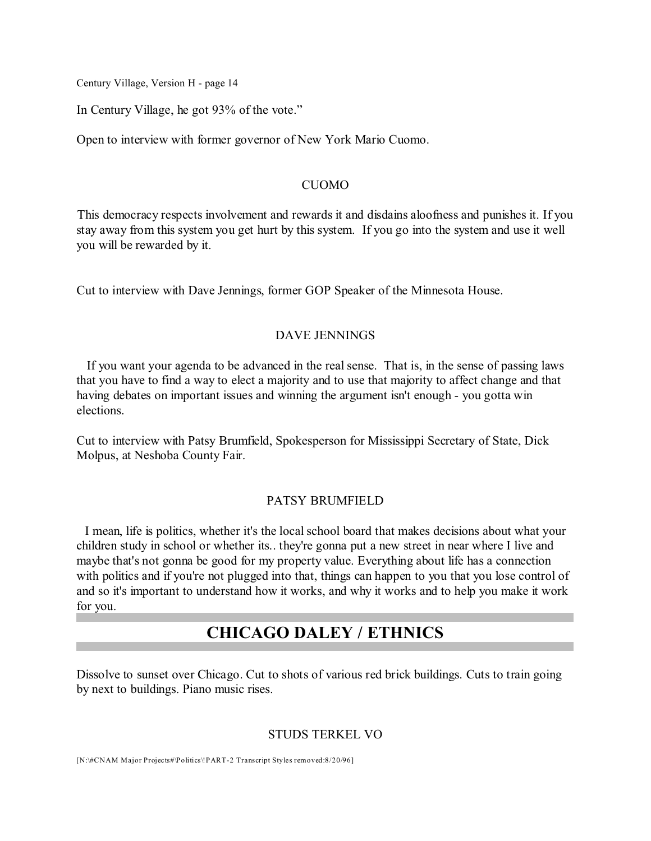In Century Village, he got 93% of the vote."

Open to interview with former governor of New York Mario Cuomo.

#### **CUOMO**

This democracy respects involvement and rewards it and disdains aloofness and punishes it. If you stay away from this system you get hurt by this system. If you go into the system and use it well you will be rewarded by it.

Cut to interview with Dave Jennings, former GOP Speaker of the Minnesota House.

### DAVE JENNINGS

If you want your agenda to be advanced in the real sense. That is, in the sense of passing laws that you have to find a way to elect a majority and to use that majority to affect change and that having debates on important issues and winning the argument isn't enough - you gotta win elections.

Cut to interview with Patsy Brumfield, Spokesperson for Mississippi Secretary of State, Dick Molpus, at Neshoba County Fair.

#### PATSY BRUMFIELD

I mean, life is politics, whether it's the local school board that makes decisions about what your children study in school or whether its.. they're gonna put a new street in near where I live and maybe that's not gonna be good for my property value. Everything about life has a connection with politics and if you're not plugged into that, things can happen to you that you lose control of and so it's important to understand how it works, and why it works and to help you make it work for you.

# **CHICAGO DALEY / ETHNICS**

Dissolve to sunset over Chicago. Cut to shots of various red brick buildings. Cuts to train going by next to buildings. Piano music rises.

### STUDS TERKEL VO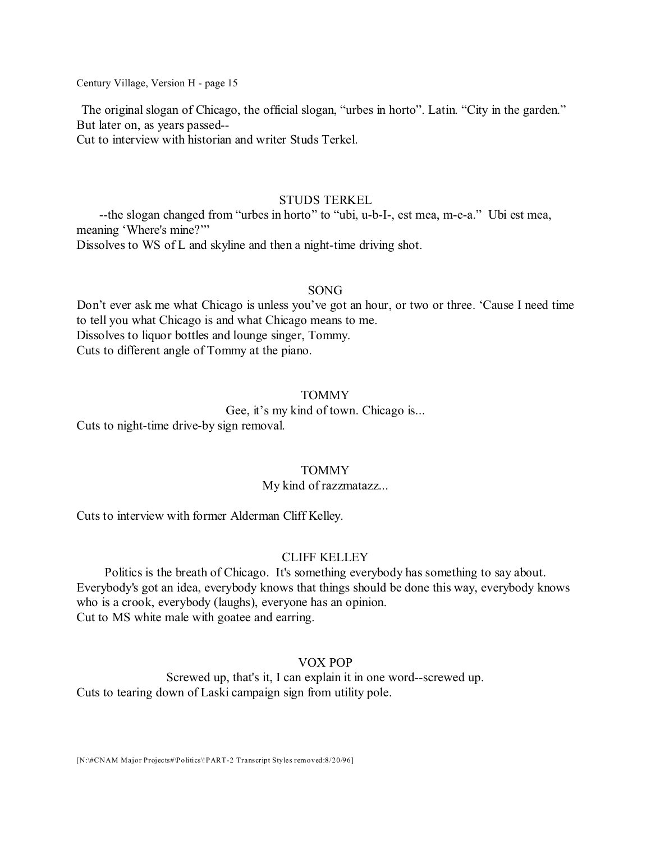The original slogan of Chicago, the official slogan, "urbes in horto". Latin. "City in the garden." But later on, as years passed--

Cut to interview with historian and writer Studs Terkel.

#### STUDS TERKEL

--the slogan changed from "urbes in horto" to "ubi, u-b-I-, est mea, m-e-a." Ubi est mea, meaning 'Where's mine?'"

Dissolves to WS of L and skyline and then a night-time driving shot.

#### SONG

Don't ever ask me what Chicago is unless you've got an hour, or two or three. 'Cause I need time to tell you what Chicago is and what Chicago means to me. Dissolves to liquor bottles and lounge singer, Tommy. Cuts to different angle of Tommy at the piano.

### TOMMY

Gee, it's my kind of town. Chicago is...

Cuts to night-time drive-by sign removal.

### TOMMY

### My kind of razzmatazz...

Cuts to interview with former Alderman Cliff Kelley.

# CLIFF KELLEY

Politics is the breath of Chicago. It's something everybody has something to say about. Everybody's got an idea, everybody knows that things should be done this way, everybody knows who is a crook, everybody (laughs), everyone has an opinion. Cut to MS white male with goatee and earring.

### VOX POP

Screwed up, that's it, I can explain it in one word--screwed up. Cuts to tearing down of Laski campaign sign from utility pole.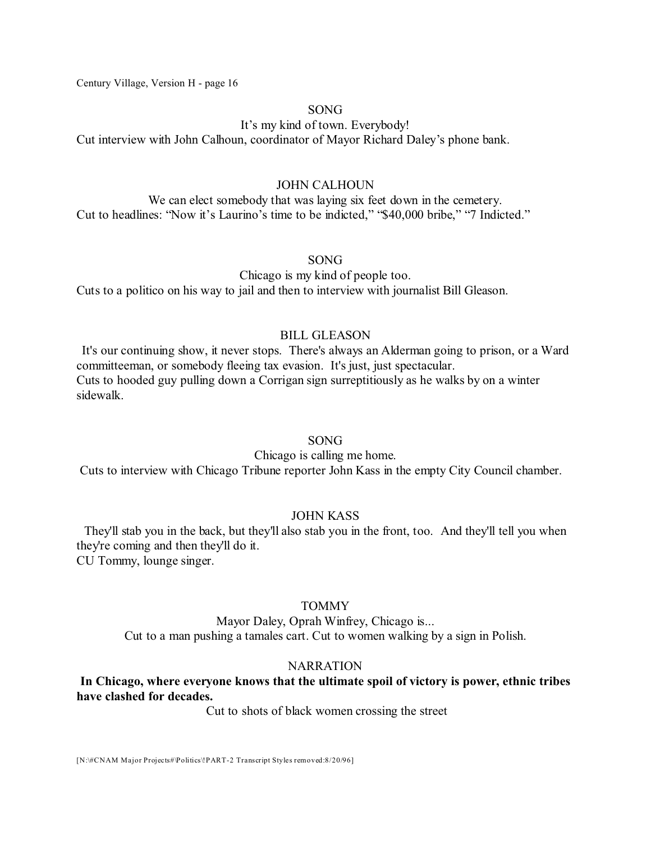### SONG

It's my kind of town. Everybody!

Cut interview with John Calhoun, coordinator of Mayor Richard Daley's phone bank.

# JOHN CALHOUN

We can elect somebody that was laying six feet down in the cemetery. Cut to headlines: "Now it's Laurino's time to be indicted," "\$40,000 bribe," "7 Indicted."

SONG

Chicago is my kind of people too.

Cuts to a politico on his way to jail and then to interview with journalist Bill Gleason.

# BILL GLEASON

It's our continuing show, it never stops. There's always an Alderman going to prison, or a Ward committeeman, or somebody fleeing tax evasion. It's just, just spectacular. Cuts to hooded guy pulling down a Corrigan sign surreptitiously as he walks by on a winter sidewalk.

# SONG

Chicago is calling me home.

Cuts to interview with Chicago Tribune reporter John Kass in the empty City Council chamber.

# JOHN KASS

They'll stab you in the back, but they'll also stab you in the front, too. And they'll tell you when they're coming and then they'll do it. CU Tommy, lounge singer.

# TOMMY

Mayor Daley, Oprah Winfrey, Chicago is... Cut to a man pushing a tamales cart. Cut to women walking by a sign in Polish.

# NARRATION

# **In Chicago, where everyone knows that the ultimate spoil of victory is power, ethnic tribes have clashed for decades.**

Cut to shots of black women crossing the street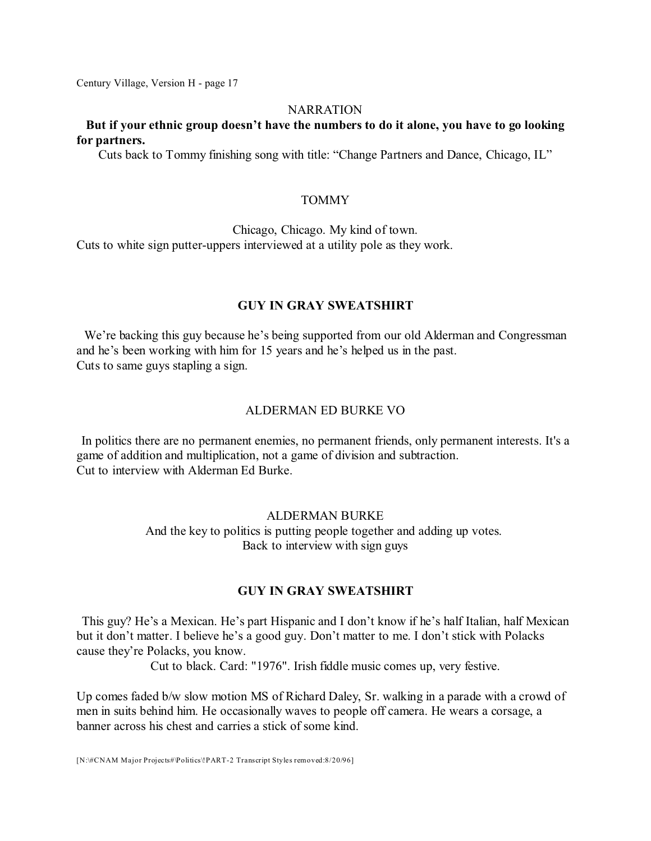#### NARRATION

# **But if your ethnic group doesn't have the numbers to do it alone, you have to go looking for partners.**

Cuts back to Tommy finishing song with title: "Change Partners and Dance, Chicago, IL"

### **TOMMY**

Chicago, Chicago. My kind of town. Cuts to white sign putter-uppers interviewed at a utility pole as they work.

### **GUY IN GRAY SWEATSHIRT**

We're backing this guy because he's being supported from our old Alderman and Congressman and he's been working with him for 15 years and he's helped us in the past. Cuts to same guys stapling a sign.

#### ALDERMAN ED BURKE VO

In politics there are no permanent enemies, no permanent friends, only permanent interests. It's a game of addition and multiplication, not a game of division and subtraction. Cut to interview with Alderman Ed Burke.

# ALDERMAN BURKE And the key to politics is putting people together and adding up votes. Back to interview with sign guys

### **GUY IN GRAY SWEATSHIRT**

This guy? He's a Mexican. He's part Hispanic and I don't know if he's half Italian, half Mexican but it don't matter. I believe he's a good guy. Don't matter to me. I don't stick with Polacks cause they're Polacks, you know.

Cut to black. Card: "1976". Irish fiddle music comes up, very festive.

Up comes faded b/w slow motion MS of Richard Daley, Sr. walking in a parade with a crowd of men in suits behind him. He occasionally waves to people off camera. He wears a corsage, a banner across his chest and carries a stick of some kind.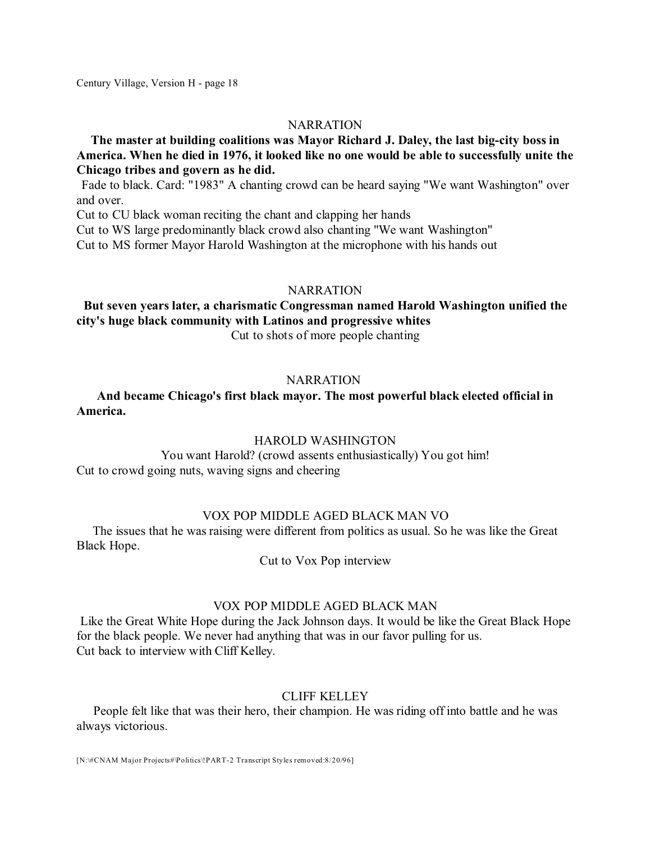### **NARRATION**

# **The master at building coalitions was Mayor Richard J. Daley, the last big-city boss in America. When he died in 1976, it looked like no one would be able to successfully unite the Chicago tribes and govern as he did.**

Fade to black. Card: "1983" A chanting crowd can be heard saying "We want Washington" over and over.

Cut to CU black woman reciting the chant and clapping her hands

Cut to WS large predominantly black crowd also chanting "We want Washington"

Cut to MS former Mayor Harold Washington at the microphone with his hands out

#### **NARRATION**

### **But seven years later, a charismatic Congressman named Harold Washington unified the city's huge black community with Latinos and progressive whites** Cut to shots of more people chanting

#### **NARRATION**

# **And became Chicago's first black mayor. The most powerful black elected official in America.**

### HAROLD WASHINGTON

You want Harold? (crowd assents enthusiastically) You got him! Cut to crowd going nuts, waving signs and cheering

### VOX POP MIDDLE AGED BLACK MAN VO

The issues that he was raising were different from politics as usual. So he was like the Great Black Hope.

Cut to Vox Pop interview

#### VOX POP MIDDLE AGED BLACK MAN

Like the Great White Hope during the Jack Johnson days. It would be like the Great Black Hope for the black people. We never had anything that was in our favor pulling for us. Cut back to interview with Cliff Kelley.

### CLIFF KELLEY

People felt like that was their hero, their champion. He was riding off into battle and he was always victorious.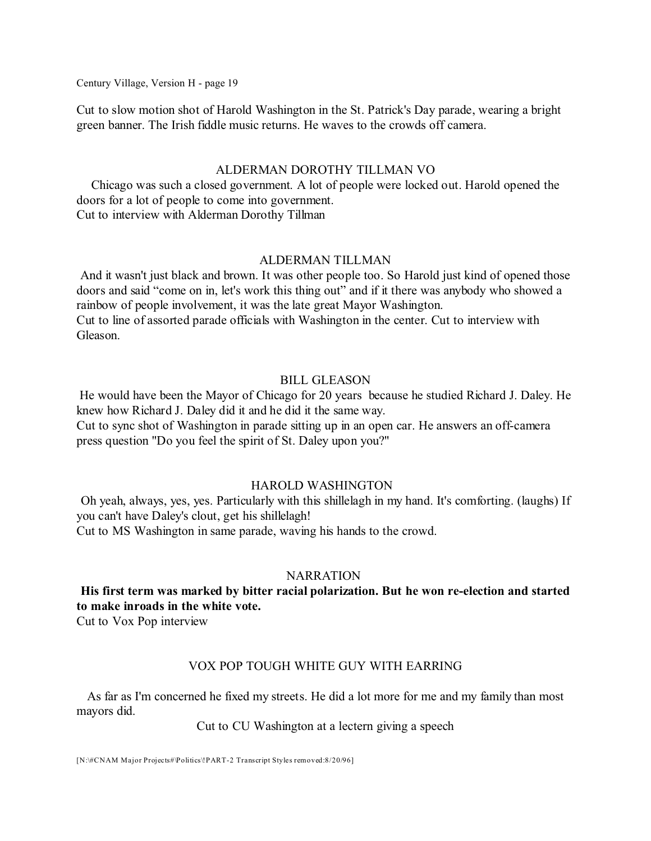Cut to slow motion shot of Harold Washington in the St. Patrick's Day parade, wearing a bright green banner. The Irish fiddle music returns. He waves to the crowds off camera.

### ALDERMAN DOROTHY TILLMAN VO

Chicago was such a closed government. A lot of people were locked out. Harold opened the doors for a lot of people to come into government. Cut to interview with Alderman Dorothy Tillman

# ALDERMAN TILLMAN

And it wasn't just black and brown. It was other people too. So Harold just kind of opened those doors and said "come on in, let's work this thing out" and if it there was anybody who showed a rainbow of people involvement, it was the late great Mayor Washington. Cut to line of assorted parade officials with Washington in the center. Cut to interview with Gleason.

### BILL GLEASON

He would have been the Mayor of Chicago for 20 years because he studied Richard J. Daley. He knew how Richard J. Daley did it and he did it the same way. Cut to sync shot of Washington in parade sitting up in an open car. He answers an off-camera press question "Do you feel the spirit of St. Daley upon you?"

### HAROLD WASHINGTON

Oh yeah, always, yes, yes. Particularly with this shillelagh in my hand. It's comforting. (laughs) If you can't have Daley's clout, get his shillelagh!

Cut to MS Washington in same parade, waving his hands to the crowd.

### **NARRATION**

# **His first term was marked by bitter racial polarization. But he won re-election and started to make inroads in the white vote.**

Cut to Vox Pop interview

# VOX POP TOUGH WHITE GUY WITH EARRING

As far as I'm concerned he fixed my streets. He did a lot more for me and my family than most mayors did.

### Cut to CU Washington at a lectern giving a speech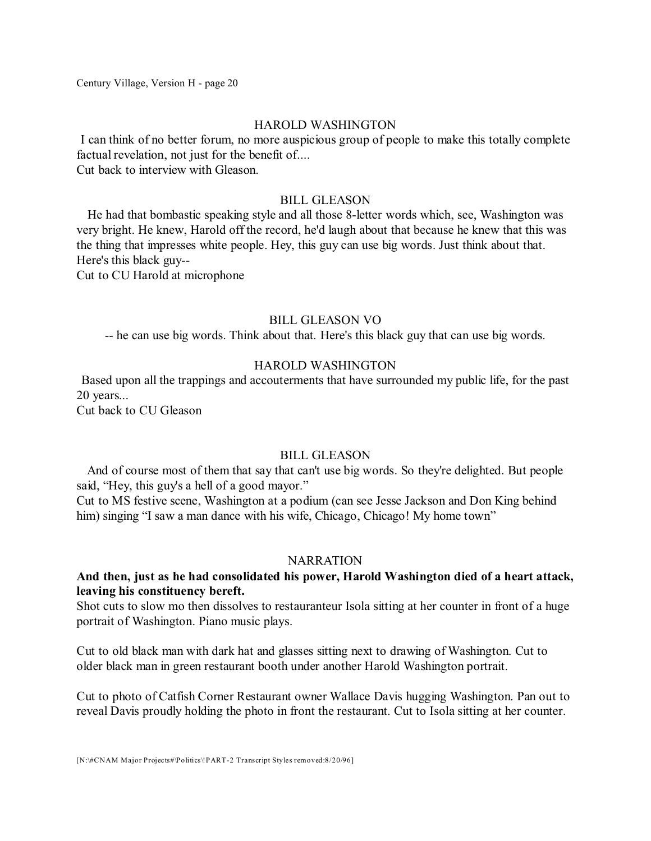### HAROLD WASHINGTON

I can think of no better forum, no more auspicious group of people to make this totally complete factual revelation, not just for the benefit of.... Cut back to interview with Gleason.

### BILL GLEASON

He had that bombastic speaking style and all those 8-letter words which, see, Washington was very bright. He knew, Harold off the record, he'd laugh about that because he knew that this was the thing that impresses white people. Hey, this guy can use big words. Just think about that. Here's this black guy-- Cut to CU Harold at microphone

### BILL GLEASON VO

-- he can use big words. Think about that. Here's this black guy that can use big words.

### HAROLD WASHINGTON

Based upon all the trappings and accouterments that have surrounded my public life, for the past 20 years...

Cut back to CU Gleason

# BILL GLEASON

And of course most of them that say that can't use big words. So they're delighted. But people said, "Hey, this guy's a hell of a good mayor."

Cut to MS festive scene, Washington at a podium (can see Jesse Jackson and Don King behind him) singing "I saw a man dance with his wife, Chicago, Chicago! My home town"

#### **NARRATION**

### **And then, just as he had consolidated his power, Harold Washington died of a heart attack, leaving his constituency bereft.**

Shot cuts to slow mo then dissolves to restauranteur Isola sitting at her counter in front of a huge portrait of Washington. Piano music plays.

Cut to old black man with dark hat and glasses sitting next to drawing of Washington. Cut to older black man in green restaurant booth under another Harold Washington portrait.

Cut to photo of Catfish Corner Restaurant owner Wallace Davis hugging Washington. Pan out to reveal Davis proudly holding the photo in front the restaurant. Cut to Isola sitting at her counter.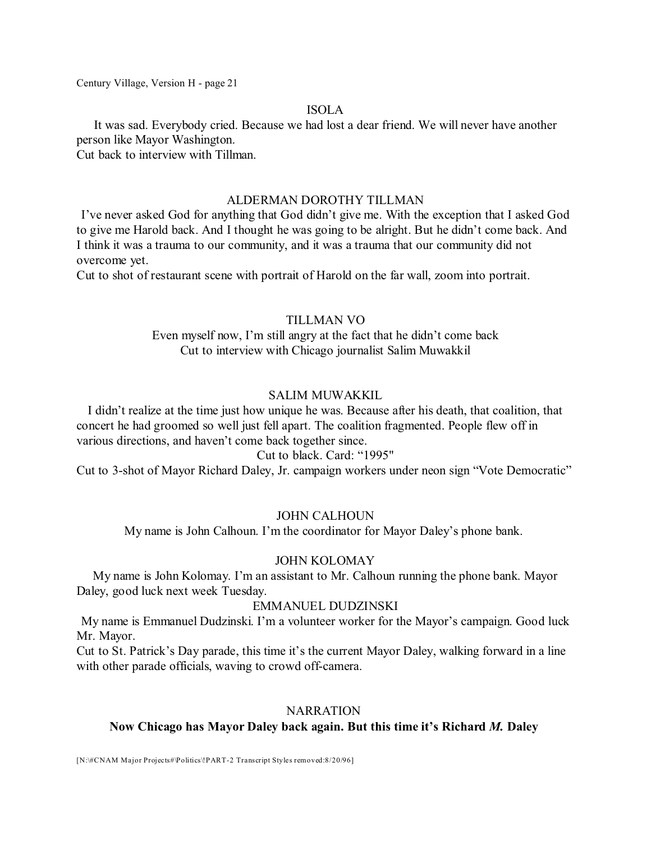### ISOLA

It was sad. Everybody cried. Because we had lost a dear friend. We will never have another person like Mayor Washington.

Cut back to interview with Tillman.

### ALDERMAN DOROTHY TILLMAN

I've never asked God for anything that God didn't give me. With the exception that I asked God to give me Harold back. And I thought he was going to be alright. But he didn't come back. And I think it was a trauma to our community, and it was a trauma that our community did not overcome yet.

Cut to shot of restaurant scene with portrait of Harold on the far wall, zoom into portrait.

# TILLMAN VO

Even myself now, I'm still angry at the fact that he didn't come back Cut to interview with Chicago journalist Salim Muwakkil

# SALIM MUWAKKIL

I didn't realize at the time just how unique he was. Because after his death, that coalition, that concert he had groomed so well just fell apart. The coalition fragmented. People flew off in various directions, and haven't come back together since.

# Cut to black. Card: "1995"

Cut to 3-shot of Mayor Richard Daley, Jr. campaign workers under neon sign "Vote Democratic"

# JOHN CALHOUN

My name is John Calhoun. I'm the coordinator for Mayor Daley's phone bank.

# JOHN KOLOMAY

My name is John Kolomay. I'm an assistant to Mr. Calhoun running the phone bank. Mayor Daley, good luck next week Tuesday.

# EMMANUEL DUDZINSKI

My name is Emmanuel Dudzinski. I'm a volunteer worker for the Mayor's campaign. Good luck Mr. Mayor.

Cut to St. Patrick's Day parade, this time it's the current Mayor Daley, walking forward in a line with other parade officials, waving to crowd off-camera.

# **NARRATION**

# **Now Chicago has Mayor Daley back again. But this time it's Richard** *M.* **Daley**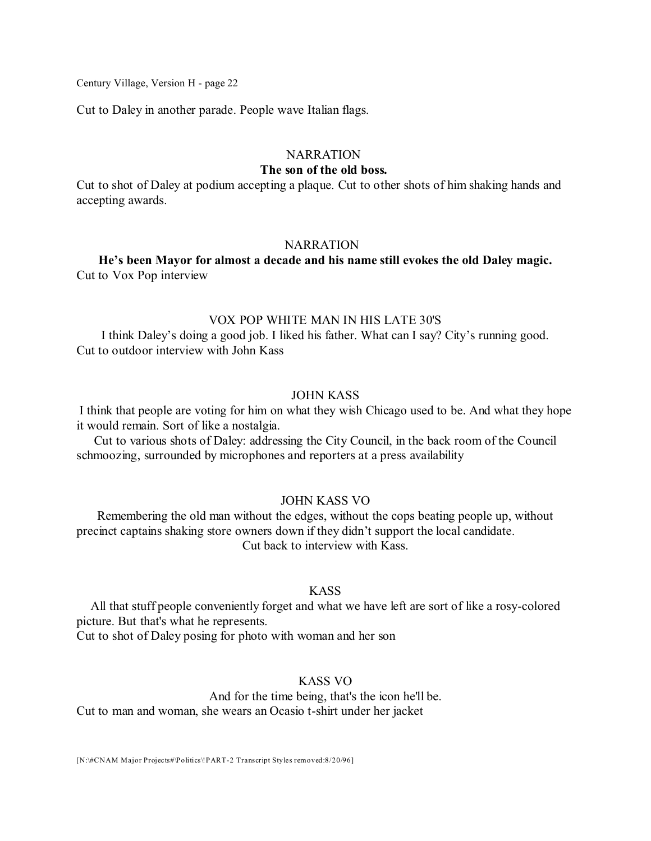Cut to Daley in another parade. People wave Italian flags.

### **NARRATION**

### **The son of the old boss.**

Cut to shot of Daley at podium accepting a plaque. Cut to other shots of him shaking hands and accepting awards.

#### **NARRATION**

**He's been Mayor for almost a decade and his name still evokes the old Daley magic.** Cut to Vox Pop interview

### VOX POP WHITE MAN IN HIS LATE 30'S

I think Daley's doing a good job. I liked his father. What can I say? City's running good. Cut to outdoor interview with John Kass

### JOHN KASS

I think that people are voting for him on what they wish Chicago used to be. And what they hope it would remain. Sort of like a nostalgia.

Cut to various shots of Daley: addressing the City Council, in the back room of the Council schmoozing, surrounded by microphones and reporters at a press availability

#### JOHN KASS VO

Remembering the old man without the edges, without the cops beating people up, without precinct captains shaking store owners down if they didn't support the local candidate. Cut back to interview with Kass.

### KASS

All that stuff people conveniently forget and what we have left are sort of like a rosy-colored picture. But that's what he represents.

Cut to shot of Daley posing for photo with woman and her son

# KASS VO

And for the time being, that's the icon he'll be. Cut to man and woman, she wears an Ocasio t-shirt under her jacket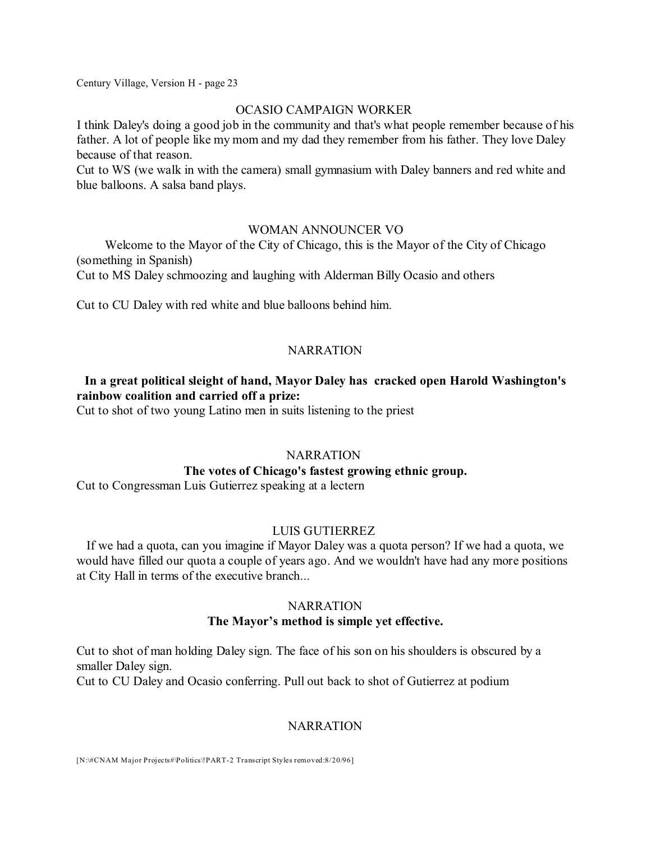### OCASIO CAMPAIGN WORKER

I think Daley's doing a good job in the community and that's what people remember because of his father. A lot of people like my mom and my dad they remember from his father. They love Daley because of that reason.

Cut to WS (we walk in with the camera) small gymnasium with Daley banners and red white and blue balloons. A salsa band plays.

### WOMAN ANNOUNCER VO

Welcome to the Mayor of the City of Chicago, this is the Mayor of the City of Chicago (something in Spanish)

Cut to MS Daley schmoozing and laughing with Alderman Billy Ocasio and others

Cut to CU Daley with red white and blue balloons behind him.

# **NARRATION**

# **In a great political sleight of hand, Mayor Daley has cracked open Harold Washington's rainbow coalition and carried off a prize:**

Cut to shot of two young Latino men in suits listening to the priest

# **NARRATION**

# **The votes of Chicago's fastest growing ethnic group.**

Cut to Congressman Luis Gutierrez speaking at a lectern

# LUIS GUTIERREZ

If we had a quota, can you imagine if Mayor Daley was a quota person? If we had a quota, we would have filled our quota a couple of years ago. And we wouldn't have had any more positions at City Hall in terms of the executive branch...

#### NARRATION

### **The Mayor's method is simple yet effective.**

Cut to shot of man holding Daley sign. The face of his son on his shoulders is obscured by a smaller Daley sign.

Cut to CU Daley and Ocasio conferring. Pull out back to shot of Gutierrez at podium

### **NARRATION**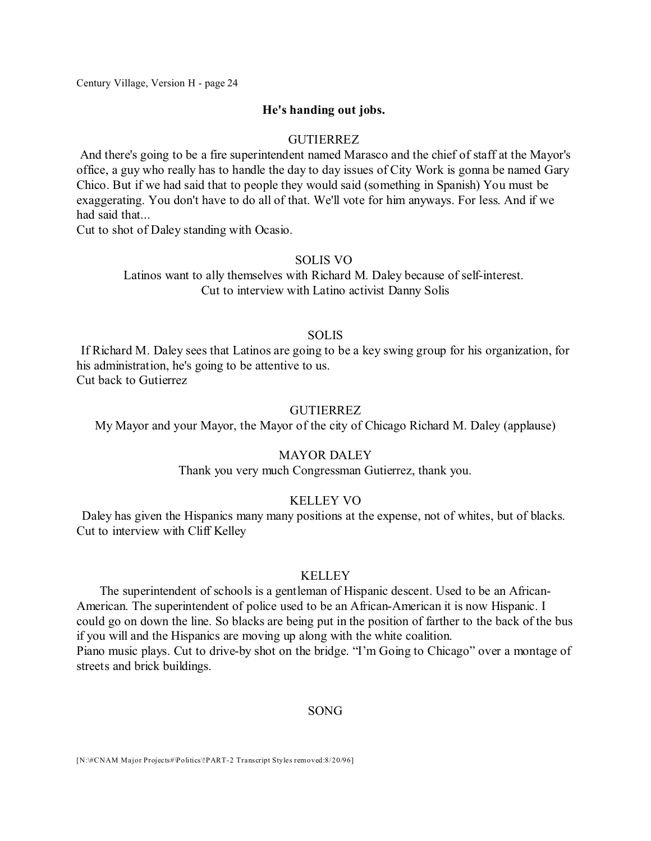#### **He's handing out jobs.**

### GUTIERREZ

And there's going to be a fire superintendent named Marasco and the chief of staff at the Mayor's office, a guy who really has to handle the day to day issues of City Work is gonna be named Gary Chico. But if we had said that to people they would said (something in Spanish) You must be exaggerating. You don't have to do all of that. We'll vote for him anyways. For less. And if we had said that...

Cut to shot of Daley standing with Ocasio.

#### SOLIS VO

Latinos want to ally themselves with Richard M. Daley because of self-interest. Cut to interview with Latino activist Danny Solis

### **SOLIS**

If Richard M. Daley sees that Latinos are going to be a key swing group for his organization, for his administration, he's going to be attentive to us. Cut back to Gutierrez

#### GUTIERREZ

My Mayor and your Mayor, the Mayor of the city of Chicago Richard M. Daley (applause)

### MAYOR DALEY

Thank you very much Congressman Gutierrez, thank you.

#### KELLEY VO

Daley has given the Hispanics many many positions at the expense, not of whites, but of blacks. Cut to interview with Cliff Kelley

### KELLEY

The superintendent of schools is a gentleman of Hispanic descent. Used to be an African-American. The superintendent of police used to be an African-American it is now Hispanic. I could go on down the line. So blacks are being put in the position of farther to the back of the bus if you will and the Hispanics are moving up along with the white coalition. Piano music plays. Cut to drive-by shot on the bridge. "I'm Going to Chicago" over a montage of streets and brick buildings.

#### SONG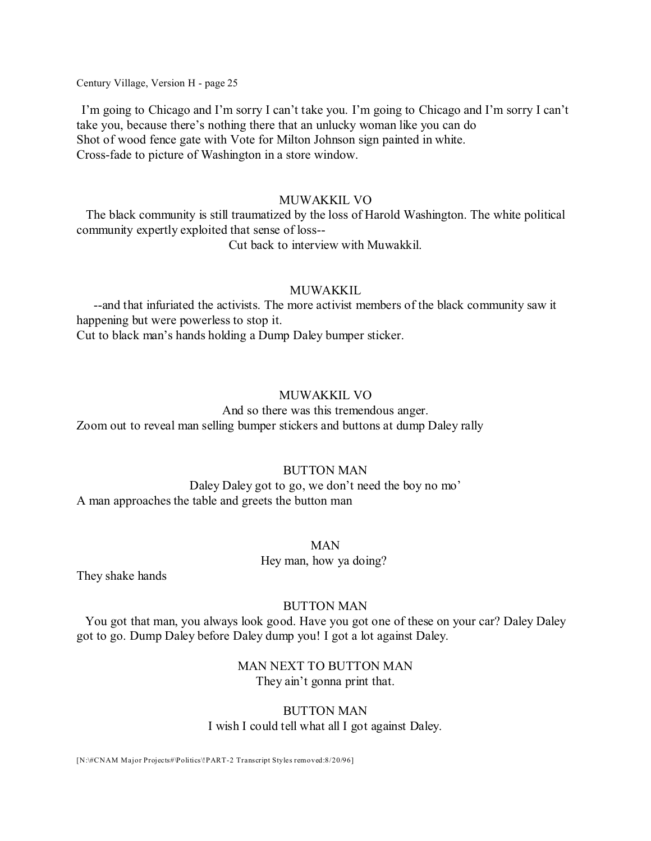I'm going to Chicago and I'm sorry I can't take you. I'm going to Chicago and I'm sorry I can't take you, because there's nothing there that an unlucky woman like you can do Shot of wood fence gate with Vote for Milton Johnson sign painted in white. Cross-fade to picture of Washington in a store window.

#### MUWAKKIL VO

The black community is still traumatized by the loss of Harold Washington. The white political community expertly exploited that sense of loss--

Cut back to interview with Muwakkil.

#### MUWAKKIL

--and that infuriated the activists. The more activist members of the black community saw it happening but were powerless to stop it. Cut to black man's hands holding a Dump Daley bumper sticker.

#### MUWAKKIL VO

And so there was this tremendous anger. Zoom out to reveal man selling bumper stickers and buttons at dump Daley rally

### BUTTON MAN

Daley Daley got to go, we don't need the boy no mo' A man approaches the table and greets the button man

# MAN Hey man, how ya doing?

They shake hands

#### BUTTON MAN

You got that man, you always look good. Have you got one of these on your car? Daley Daley got to go. Dump Daley before Daley dump you! I got a lot against Daley.

> MAN NEXT TO BUTTON MAN They ain't gonna print that.

### BUTTON MAN I wish I could tell what all I got against Daley.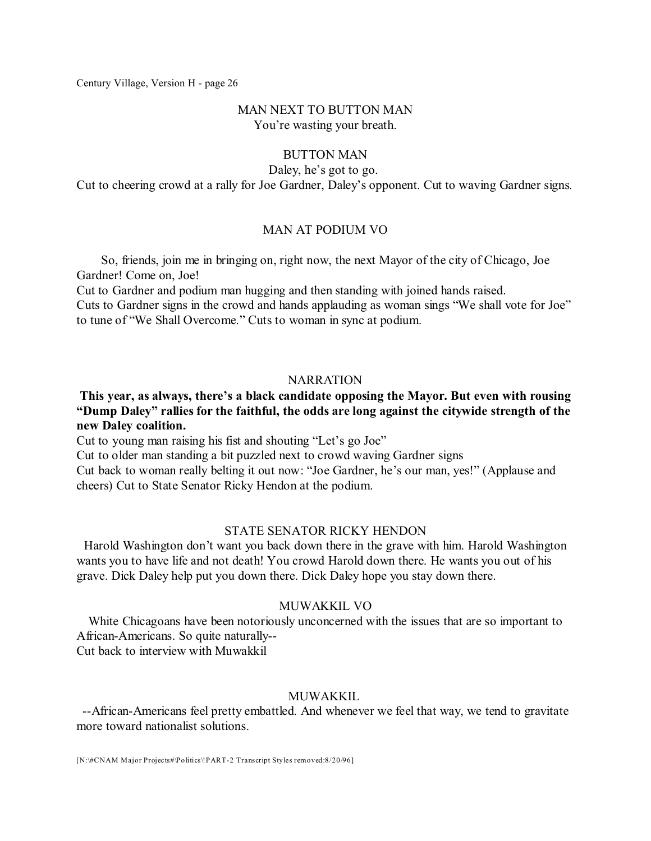### MAN NEXT TO BUTTON MAN You're wasting your breath.

### BUTTON MAN

Daley, he's got to go.

Cut to cheering crowd at a rally for Joe Gardner, Daley's opponent. Cut to waving Gardner signs.

### MAN AT PODIUM VO

So, friends, join me in bringing on, right now, the next Mayor of the city of Chicago, Joe Gardner! Come on, Joe!

Cut to Gardner and podium man hugging and then standing with joined hands raised. Cuts to Gardner signs in the crowd and hands applauding as woman sings "We shall vote for Joe" to tune of "We Shall Overcome." Cuts to woman in sync at podium.

### **NARRATION**

# **This year, as always, there's a black candidate opposing the Mayor. But even with rousing "Dump Daley" rallies for the faithful, the odds are long against the citywide strength of the new Daley coalition.**

Cut to young man raising his fist and shouting "Let's go Joe"

Cut to older man standing a bit puzzled next to crowd waving Gardner signs

Cut back to woman really belting it out now: "Joe Gardner, he's our man, yes!" (Applause and cheers) Cut to State Senator Ricky Hendon at the podium.

### STATE SENATOR RICKY HENDON

Harold Washington don't want you back down there in the grave with him. Harold Washington wants you to have life and not death! You crowd Harold down there. He wants you out of his grave. Dick Daley help put you down there. Dick Daley hope you stay down there.

### MUWAKKIL VO

White Chicagoans have been notoriously unconcerned with the issues that are so important to African-Americans. So quite naturally--

Cut back to interview with Muwakkil

# MUWAKKIL.

--African-Americans feel pretty embattled. And whenever we feel that way, we tend to gravitate more toward nationalist solutions.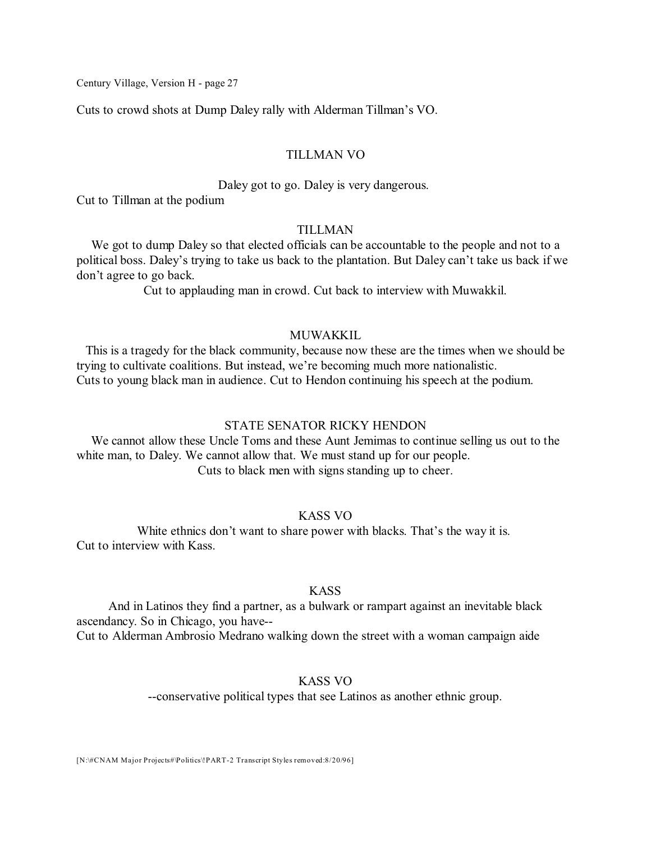Cuts to crowd shots at Dump Daley rally with Alderman Tillman's VO.

#### TILLMAN VO

#### Daley got to go. Daley is very dangerous.

Cut to Tillman at the podium

#### TILLMAN

We got to dump Daley so that elected officials can be accountable to the people and not to a political boss. Daley's trying to take us back to the plantation. But Daley can't take us back if we don't agree to go back.

Cut to applauding man in crowd. Cut back to interview with Muwakkil.

### MUWAKKIL

This is a tragedy for the black community, because now these are the times when we should be trying to cultivate coalitions. But instead, we're becoming much more nationalistic. Cuts to young black man in audience. Cut to Hendon continuing his speech at the podium.

#### STATE SENATOR RICKY HENDON

We cannot allow these Uncle Toms and these Aunt Jemimas to continue selling us out to the white man, to Daley. We cannot allow that. We must stand up for our people. Cuts to black men with signs standing up to cheer.

# KASS VO

White ethnics don't want to share power with blacks. That's the way it is. Cut to interview with Kass.

### KASS

And in Latinos they find a partner, as a bulwark or rampart against an inevitable black ascendancy. So in Chicago, you have--

Cut to Alderman Ambrosio Medrano walking down the street with a woman campaign aide

### KASS VO

--conservative political types that see Latinos as another ethnic group.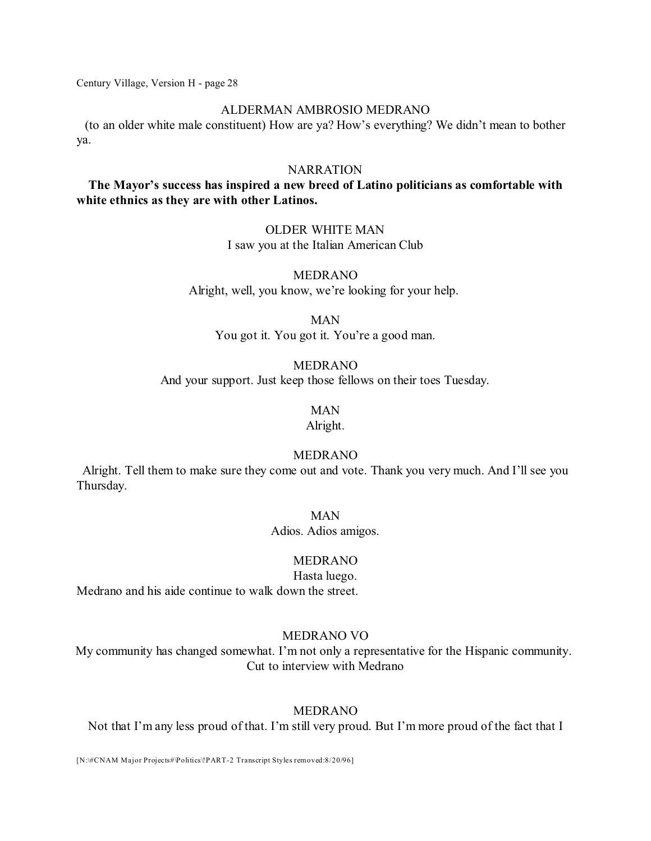#### ALDERMAN AMBROSIO MEDRANO

(to an older white male constituent) How are ya? How's everything? We didn't mean to bother ya.

### **NARRATION**

# **The Mayor's success has inspired a new breed of Latino politicians as comfortable with white ethnics as they are with other Latinos.**

### OLDER WHITE MAN I saw you at the Italian American Club

### MEDRANO Alright, well, you know, we're looking for your help.

MAN

You got it. You got it. You're a good man.

#### MEDRANO

And your support. Just keep those fellows on their toes Tuesday.

# MAN

Alright.

# MEDRANO

Alright. Tell them to make sure they come out and vote. Thank you very much. And I'll see you Thursday.

#### MAN

Adios. Adios amigos.

### MEDRANO

Hasta luego. Medrano and his aide continue to walk down the street.

#### MEDRANO VO

My community has changed somewhat. I'm not only a representative for the Hispanic community. Cut to interview with Medrano

#### MEDRANO

Not that I'm any less proud of that. I'm still very proud. But I'm more proud of the fact that I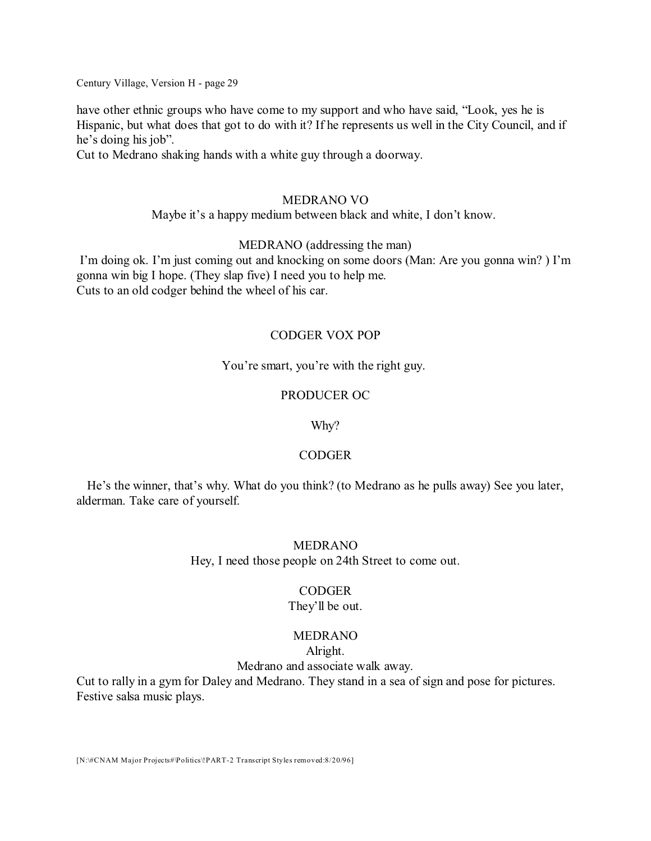have other ethnic groups who have come to my support and who have said, "Look, yes he is Hispanic, but what does that got to do with it? If he represents us well in the City Council, and if he's doing his job".

Cut to Medrano shaking hands with a white guy through a doorway.

### MEDRANO VO

### Maybe it's a happy medium between black and white, I don't know.

### MEDRANO (addressing the man)

I'm doing ok. I'm just coming out and knocking on some doors (Man: Are you gonna win? ) I'm gonna win big I hope. (They slap five) I need you to help me. Cuts to an old codger behind the wheel of his car.

# CODGER VOX POP

### You're smart, you're with the right guy.

### PRODUCER OC

### Why?

# CODGER

He's the winner, that's why. What do you think? (to Medrano as he pulls away) See you later, alderman. Take care of yourself.

### MEDRANO

Hey, I need those people on 24th Street to come out.

### **CODGER**

### They'll be out.

# MEDRANO

### Alright.

Medrano and associate walk away.

Cut to rally in a gym for Daley and Medrano. They stand in a sea of sign and pose for pictures. Festive salsa music plays.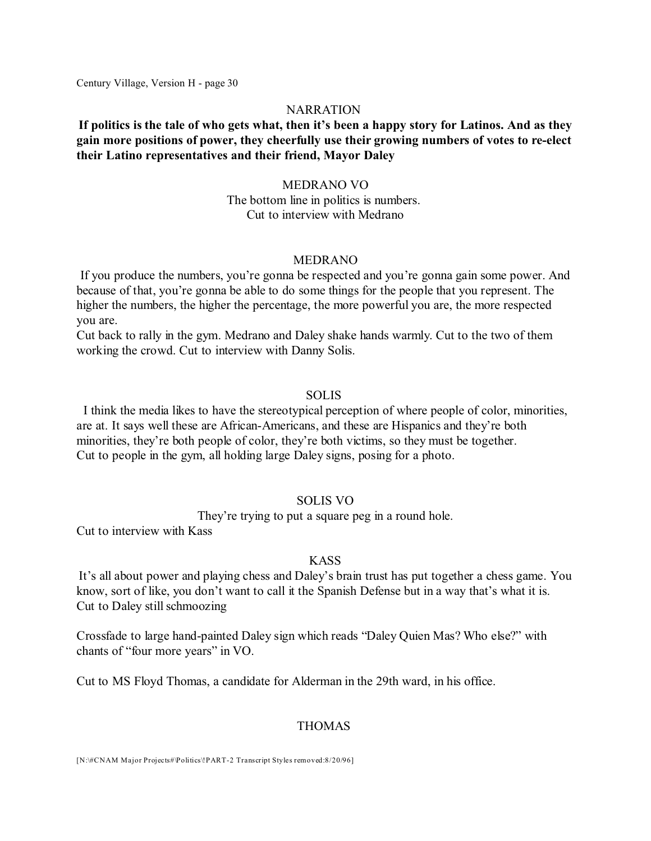#### NARRATION

# **If politics is the tale of who gets what, then it's been a happy story for Latinos. And as they gain more positions of power, they cheerfully use their growing numbers of votes to re-elect their Latino representatives and their friend, Mayor Daley**

#### MEDRANO VO

The bottom line in politics is numbers. Cut to interview with Medrano

#### MEDRANO

If you produce the numbers, you're gonna be respected and you're gonna gain some power. And because of that, you're gonna be able to do some things for the people that you represent. The higher the numbers, the higher the percentage, the more powerful you are, the more respected you are.

Cut back to rally in the gym. Medrano and Daley shake hands warmly. Cut to the two of them working the crowd. Cut to interview with Danny Solis.

#### SOLIS

I think the media likes to have the stereotypical perception of where people of color, minorities, are at. It says well these are African-Americans, and these are Hispanics and they're both minorities, they're both people of color, they're both victims, so they must be together. Cut to people in the gym, all holding large Daley signs, posing for a photo.

#### SOLIS VO

They're trying to put a square peg in a round hole.

Cut to interview with Kass

#### **KASS**

It's all about power and playing chess and Daley's brain trust has put together a chess game. You know, sort of like, you don't want to call it the Spanish Defense but in a way that's what it is. Cut to Daley still schmoozing

Crossfade to large hand-painted Daley sign which reads "Daley Quien Mas? Who else?" with chants of "four more years" in VO.

Cut to MS Floyd Thomas, a candidate for Alderman in the 29th ward, in his office.

### THOMAS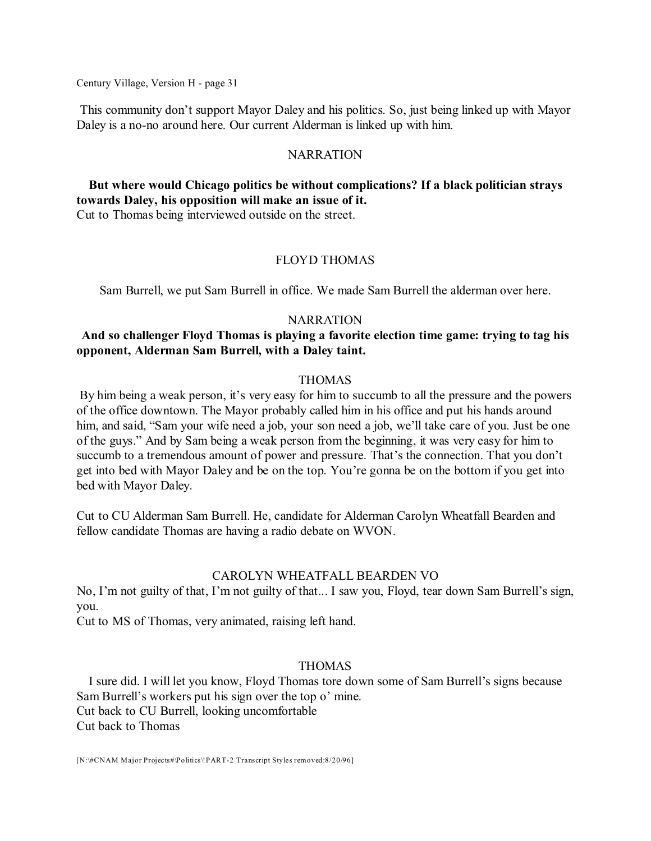This community don't support Mayor Daley and his politics. So, just being linked up with Mayor Daley is a no-no around here. Our current Alderman is linked up with him.

### NARRATION

# **But where would Chicago politics be without complications? If a black politician strays towards Daley, his opposition will make an issue of it.**

Cut to Thomas being interviewed outside on the street.

### FLOYD THOMAS

Sam Burrell, we put Sam Burrell in office. We made Sam Burrell the alderman over here.

### **NARRATION**

# **And so challenger Floyd Thomas is playing a favorite election time game: trying to tag his opponent, Alderman Sam Burrell, with a Daley taint.**

### THOMAS

By him being a weak person, it's very easy for him to succumb to all the pressure and the powers of the office downtown. The Mayor probably called him in his office and put his hands around him, and said, "Sam your wife need a job, your son need a job, we'll take care of you. Just be one of the guys." And by Sam being a weak person from the beginning, it was very easy for him to succumb to a tremendous amount of power and pressure. That's the connection. That you don't get into bed with Mayor Daley and be on the top. You're gonna be on the bottom if you get into bed with Mayor Daley.

Cut to CU Alderman Sam Burrell. He, candidate for Alderman Carolyn Wheatfall Bearden and fellow candidate Thomas are having a radio debate on WVON.

### CAROLYN WHEATFALL BEARDEN VO

No, I'm not guilty of that, I'm not guilty of that... I saw you, Floyd, tear down Sam Burrell's sign, you.

Cut to MS of Thomas, very animated, raising left hand.

### THOMAS

I sure did. I will let you know, Floyd Thomas tore down some of Sam Burrell's signs because Sam Burrell's workers put his sign over the top o' mine. Cut back to CU Burrell, looking uncomfortable Cut back to Thomas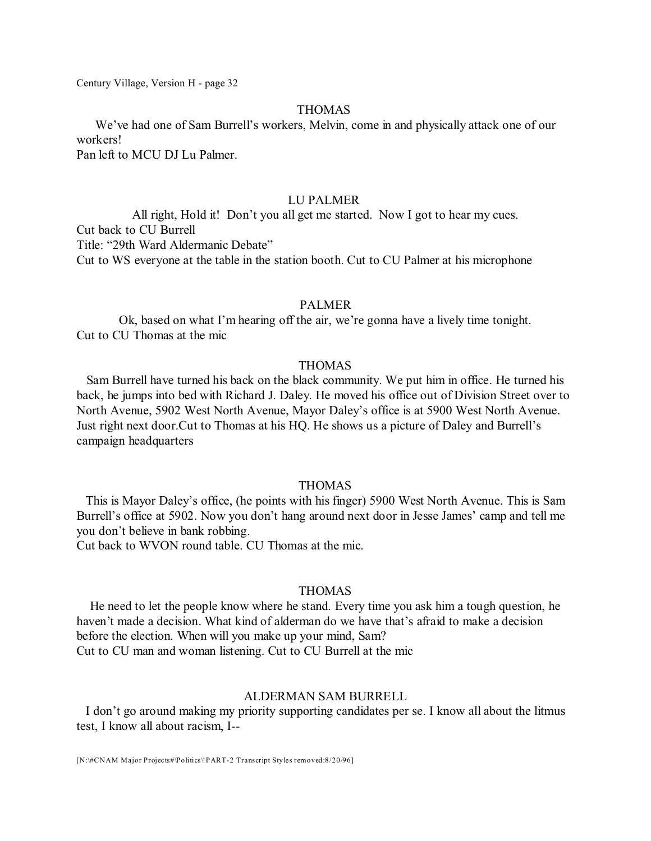### THOMAS

We've had one of Sam Burrell's workers, Melvin, come in and physically attack one of our workers!

Pan left to MCU DJ Lu Palmer.

### LU PALMER

All right, Hold it! Don't you all get me started. Now I got to hear my cues. Cut back to CU Burrell Title: "29th Ward Aldermanic Debate" Cut to WS everyone at the table in the station booth. Cut to CU Palmer at his microphone

### PALMER

Ok, based on what I'm hearing off the air, we're gonna have a lively time tonight. Cut to CU Thomas at the mic

### THOMAS

Sam Burrell have turned his back on the black community. We put him in office. He turned his back, he jumps into bed with Richard J. Daley. He moved his office out of Division Street over to North Avenue, 5902 West North Avenue, Mayor Daley's office is at 5900 West North Avenue. Just right next door.Cut to Thomas at his HQ. He shows us a picture of Daley and Burrell's campaign headquarters

#### THOMAS

This is Mayor Daley's office, (he points with his finger) 5900 West North Avenue. This is Sam Burrell's office at 5902. Now you don't hang around next door in Jesse James' camp and tell me you don't believe in bank robbing.

Cut back to WVON round table. CU Thomas at the mic.

### THOMAS

He need to let the people know where he stand. Every time you ask him a tough question, he haven't made a decision. What kind of alderman do we have that's afraid to make a decision before the election. When will you make up your mind, Sam? Cut to CU man and woman listening. Cut to CU Burrell at the mic

#### ALDERMAN SAM BURRELL

I don't go around making my priority supporting candidates per se. I know all about the litmus test, I know all about racism, I--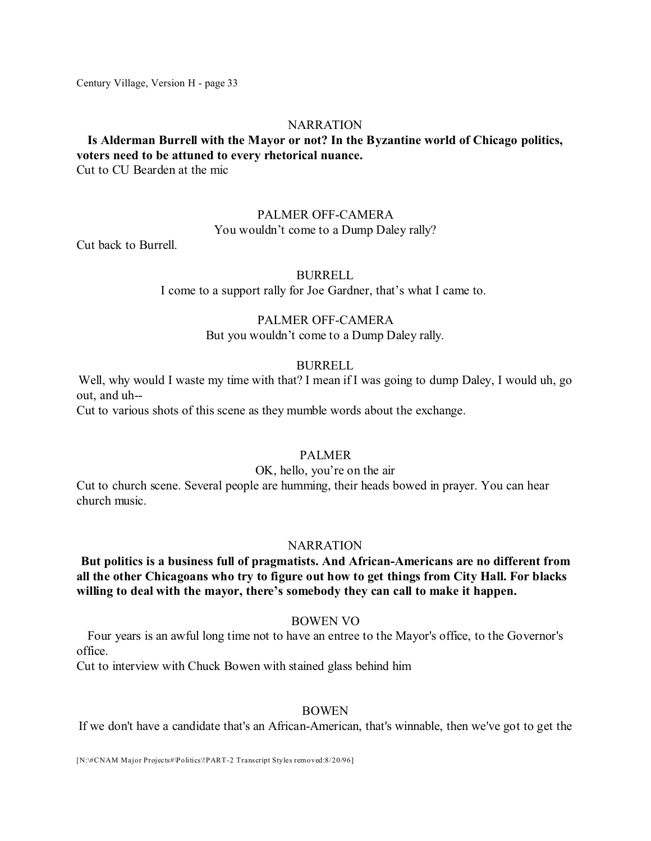#### **NARRATION**

# **Is Alderman Burrell with the Mayor or not? In the Byzantine world of Chicago politics, voters need to be attuned to every rhetorical nuance.**

Cut to CU Bearden at the mic

#### PALMER OFF-CAMERA

You wouldn't come to a Dump Daley rally?

Cut back to Burrell.

#### BURRELL

I come to a support rally for Joe Gardner, that's what I came to.

### PALMER OFF-CAMERA

But you wouldn't come to a Dump Daley rally.

### BURRELL

Well, why would I waste my time with that? I mean if I was going to dump Daley, I would uh, go out, and uh--

Cut to various shots of this scene as they mumble words about the exchange.

### PALMER

#### OK, hello, you're on the air

Cut to church scene. Several people are humming, their heads bowed in prayer. You can hear church music.

#### **NARRATION**

# **But politics is a business full of pragmatists. And African-Americans are no different from all the other Chicagoans who try to figure out how to get things from City Hall. For blacks willing to deal with the mayor, there's somebody they can call to make it happen.**

#### BOWEN VO

Four years is an awful long time not to have an entree to the Mayor's office, to the Governor's office.

Cut to interview with Chuck Bowen with stained glass behind him

#### BOWEN

If we don't have a candidate that's an African-American, that's winnable, then we've got to get the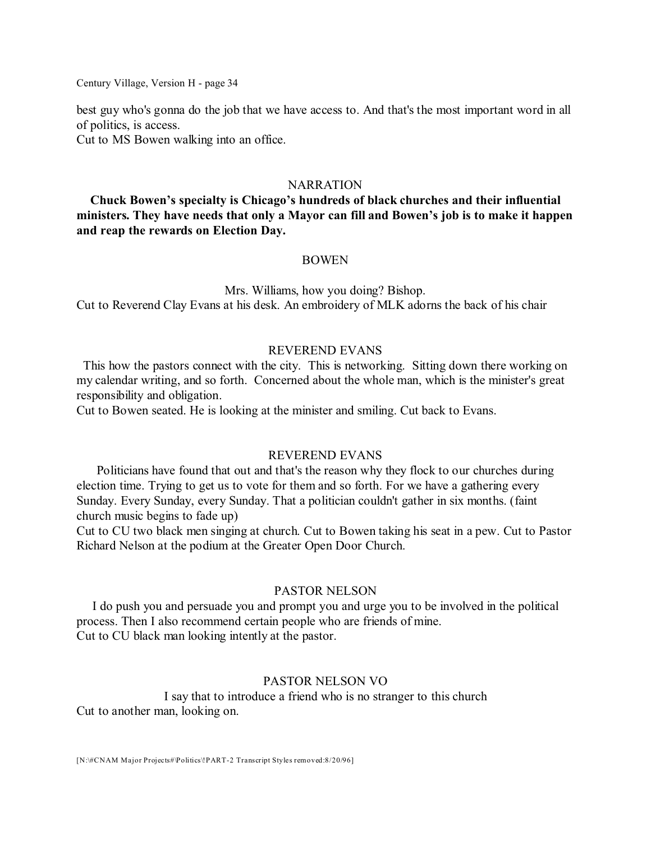best guy who's gonna do the job that we have access to. And that's the most important word in all of politics, is access.

Cut to MS Bowen walking into an office.

#### NARRATION

**Chuck Bowen's specialty is Chicago's hundreds of black churches and their influential ministers. They have needs that only a Mayor can fill and Bowen's job is to make it happen and reap the rewards on Election Day.**

#### BOWEN

Mrs. Williams, how you doing? Bishop. Cut to Reverend Clay Evans at his desk. An embroidery of MLK adorns the back of his chair

#### REVEREND EVANS

This how the pastors connect with the city. This is networking. Sitting down there working on my calendar writing, and so forth. Concerned about the whole man, which is the minister's great responsibility and obligation.

Cut to Bowen seated. He is looking at the minister and smiling. Cut back to Evans.

### REVEREND EVANS

Politicians have found that out and that's the reason why they flock to our churches during election time. Trying to get us to vote for them and so forth. For we have a gathering every Sunday. Every Sunday, every Sunday. That a politician couldn't gather in six months. (faint church music begins to fade up)

Cut to CU two black men singing at church. Cut to Bowen taking his seat in a pew. Cut to Pastor Richard Nelson at the podium at the Greater Open Door Church.

### PASTOR NELSON

I do push you and persuade you and prompt you and urge you to be involved in the political process. Then I also recommend certain people who are friends of mine. Cut to CU black man looking intently at the pastor.

#### PASTOR NELSON VO

I say that to introduce a friend who is no stranger to this church Cut to another man, looking on.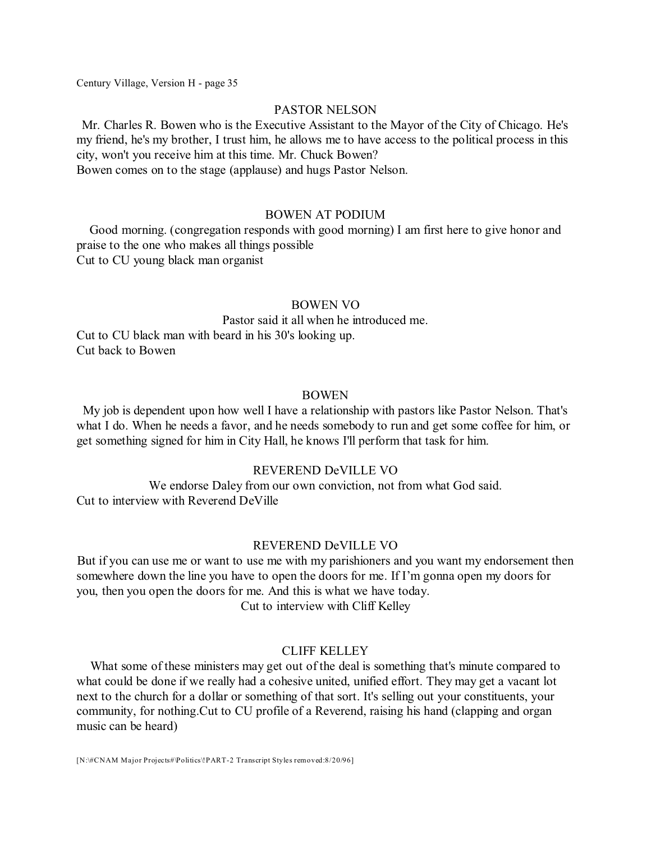### PASTOR NELSON

Mr. Charles R. Bowen who is the Executive Assistant to the Mayor of the City of Chicago. He's my friend, he's my brother, I trust him, he allows me to have access to the political process in this city, won't you receive him at this time. Mr. Chuck Bowen? Bowen comes on to the stage (applause) and hugs Pastor Nelson.

#### BOWEN AT PODIUM

Good morning. (congregation responds with good morning) I am first here to give honor and praise to the one who makes all things possible Cut to CU young black man organist

#### BOWEN VO

Pastor said it all when he introduced me. Cut to CU black man with beard in his 30's looking up. Cut back to Bowen

#### BOWEN

My job is dependent upon how well I have a relationship with pastors like Pastor Nelson. That's what I do. When he needs a favor, and he needs somebody to run and get some coffee for him, or get something signed for him in City Hall, he knows I'll perform that task for him.

#### REVEREND DeVILLE VO

We endorse Daley from our own conviction, not from what God said. Cut to interview with Reverend DeVille

#### REVEREND DeVILLE VO

But if you can use me or want to use me with my parishioners and you want my endorsement then somewhere down the line you have to open the doors for me. If I'm gonna open my doors for you, then you open the doors for me. And this is what we have today. Cut to interview with Cliff Kelley

### CLIFF KELLEY

What some of these ministers may get out of the deal is something that's minute compared to what could be done if we really had a cohesive united, unified effort. They may get a vacant lot next to the church for a dollar or something of that sort. It's selling out your constituents, your community, for nothing.Cut to CU profile of a Reverend, raising his hand (clapping and organ music can be heard)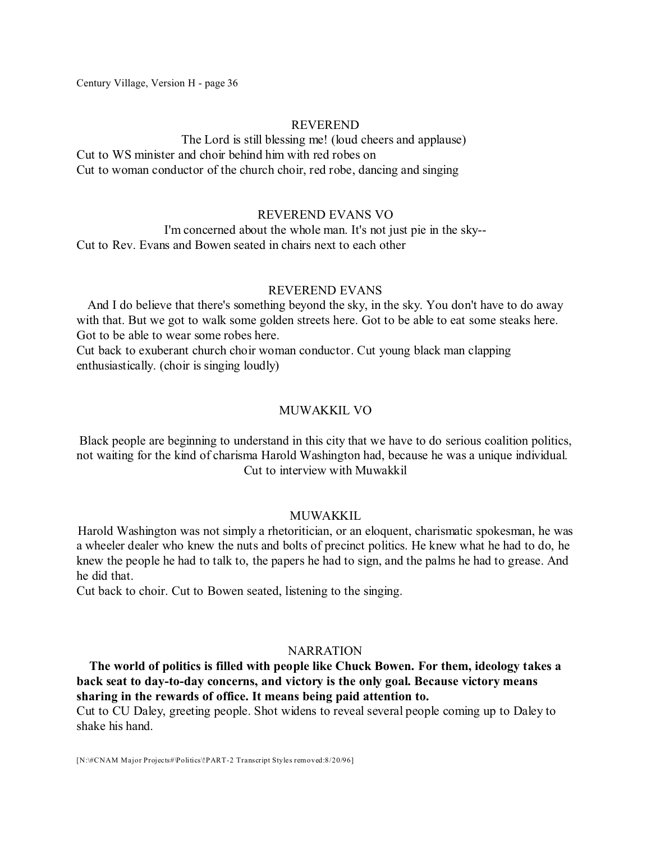#### REVEREND

The Lord is still blessing me! (loud cheers and applause) Cut to WS minister and choir behind him with red robes on Cut to woman conductor of the church choir, red robe, dancing and singing

#### REVEREND EVANS VO

I'm concerned about the whole man. It's not just pie in the sky-- Cut to Rev. Evans and Bowen seated in chairs next to each other

#### REVEREND EVANS

And I do believe that there's something beyond the sky, in the sky. You don't have to do away with that. But we got to walk some golden streets here. Got to be able to eat some steaks here. Got to be able to wear some robes here.

Cut back to exuberant church choir woman conductor. Cut young black man clapping enthusiastically. (choir is singing loudly)

### MUWAKKIL VO

Black people are beginning to understand in this city that we have to do serious coalition politics, not waiting for the kind of charisma Harold Washington had, because he was a unique individual. Cut to interview with Muwakkil

#### **MUWAKKIL**

Harold Washington was not simply a rhetoritician, or an eloquent, charismatic spokesman, he was a wheeler dealer who knew the nuts and bolts of precinct politics. He knew what he had to do, he knew the people he had to talk to, the papers he had to sign, and the palms he had to grease. And he did that.

Cut back to choir. Cut to Bowen seated, listening to the singing.

### NARRATION

**The world of politics is filled with people like Chuck Bowen. For them, ideology takes a back seat to day-to-day concerns, and victory is the only goal. Because victory means sharing in the rewards of office. It means being paid attention to.**

Cut to CU Daley, greeting people. Shot widens to reveal several people coming up to Daley to shake his hand.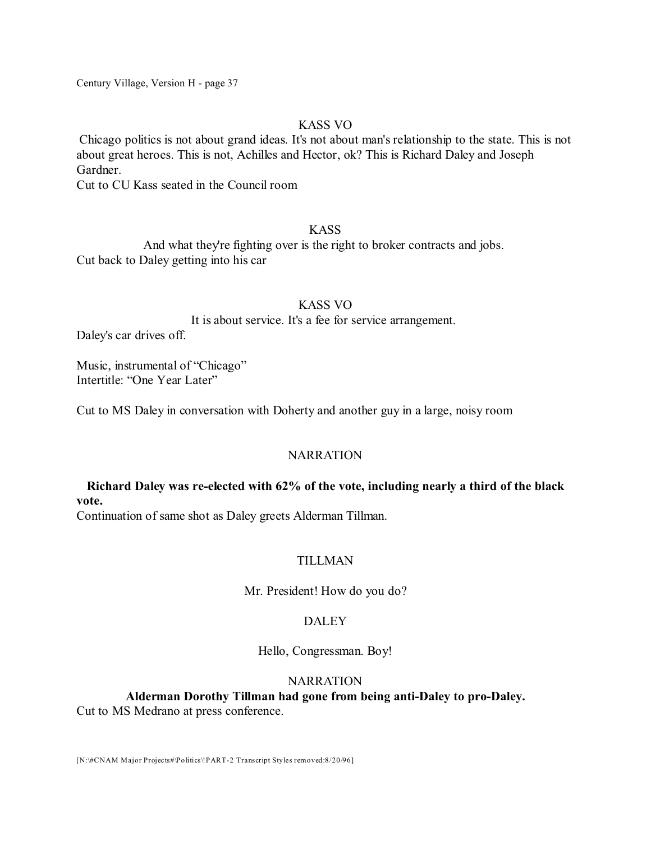### KASS VO

Chicago politics is not about grand ideas. It's not about man's relationship to the state. This is not about great heroes. This is not, Achilles and Hector, ok? This is Richard Daley and Joseph Gardner.

Cut to CU Kass seated in the Council room

# KASS

And what they're fighting over is the right to broker contracts and jobs. Cut back to Daley getting into his car

### KASS VO

It is about service. It's a fee for service arrangement.

Daley's car drives off.

Music, instrumental of "Chicago" Intertitle: "One Year Later"

Cut to MS Daley in conversation with Doherty and another guy in a large, noisy room

# NARRATION

# **Richard Daley was re-elected with 62% of the vote, including nearly a third of the black vote.**

Continuation of same shot as Daley greets Alderman Tillman.

# TILLMAN

Mr. President! How do you do?

# **DALEY**

Hello, Congressman. Boy!

### NARRATION

# **Alderman Dorothy Tillman had gone from being anti-Daley to pro-Daley.**

Cut to MS Medrano at press conference.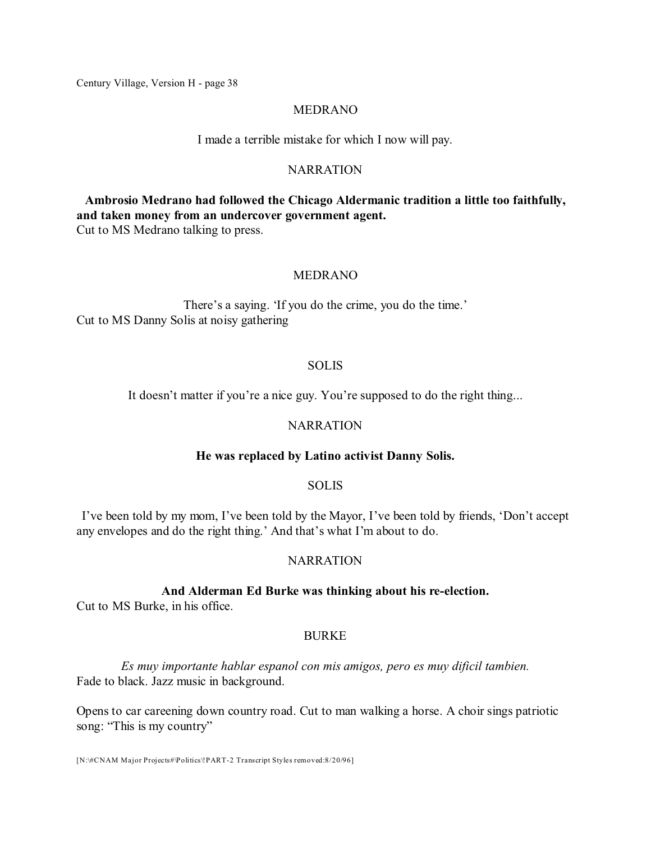#### MEDRANO

I made a terrible mistake for which I now will pay.

### NARRATION

**Ambrosio Medrano had followed the Chicago Aldermanic tradition a little too faithfully, and taken money from an undercover government agent.**

Cut to MS Medrano talking to press.

#### MEDRANO

There's a saying. 'If you do the crime, you do the time.' Cut to MS Danny Solis at noisy gathering

#### SOLIS

It doesn't matter if you're a nice guy. You're supposed to do the right thing...

# **NARRATION**

#### **He was replaced by Latino activist Danny Solis.**

### **SOLIS**

I've been told by my mom, I've been told by the Mayor, I've been told by friends, 'Don't accept any envelopes and do the right thing.' And that's what I'm about to do.

#### NARRATION

#### **And Alderman Ed Burke was thinking about his re-election.**

Cut to MS Burke, in his office.

### BURKE

*Es muy importante hablar espanol con mis amigos, pero es muy dificil tambien.* Fade to black. Jazz music in background.

Opens to car careening down country road. Cut to man walking a horse. A choir sings patriotic song: "This is my country"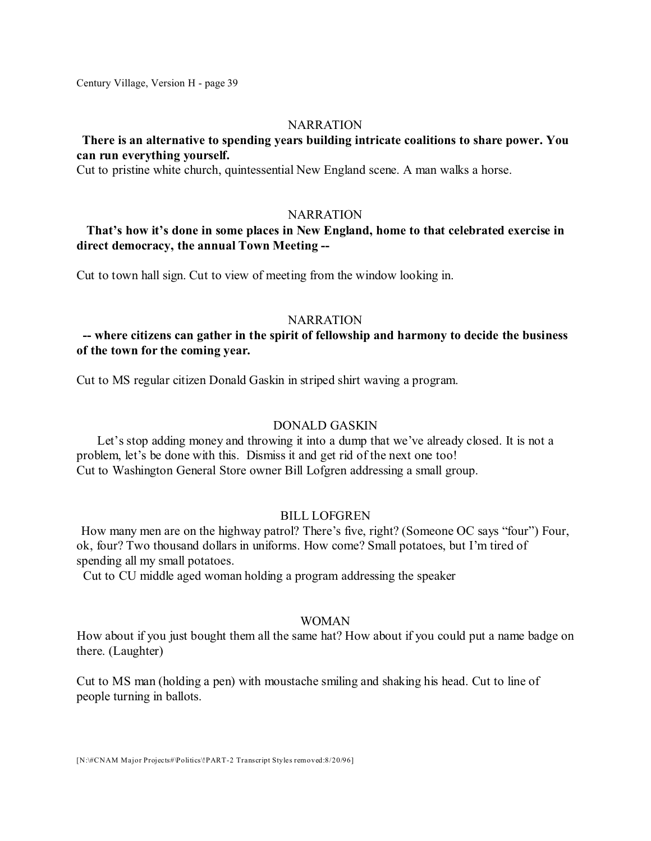#### **NARRATION**

# **There is an alternative to spending years building intricate coalitions to share power. You can run everything yourself.**

Cut to pristine white church, quintessential New England scene. A man walks a horse.

### **NARRATION**

# **That's how it's done in some places in New England, home to that celebrated exercise in direct democracy, the annual Town Meeting --**

Cut to town hall sign. Cut to view of meeting from the window looking in.

#### **NARRATION**

# **-- where citizens can gather in the spirit of fellowship and harmony to decide the business of the town for the coming year.**

Cut to MS regular citizen Donald Gaskin in striped shirt waving a program.

#### DONALD GASKIN

Let's stop adding money and throwing it into a dump that we've already closed. It is not a problem, let's be done with this. Dismiss it and get rid of the next one too! Cut to Washington General Store owner Bill Lofgren addressing a small group.

### BILL LOFGREN

How many men are on the highway patrol? There's five, right? (Someone OC says "four") Four, ok, four? Two thousand dollars in uniforms. How come? Small potatoes, but I'm tired of spending all my small potatoes.

Cut to CU middle aged woman holding a program addressing the speaker

### WOMAN

How about if you just bought them all the same hat? How about if you could put a name badge on there. (Laughter)

Cut to MS man (holding a pen) with moustache smiling and shaking his head. Cut to line of people turning in ballots.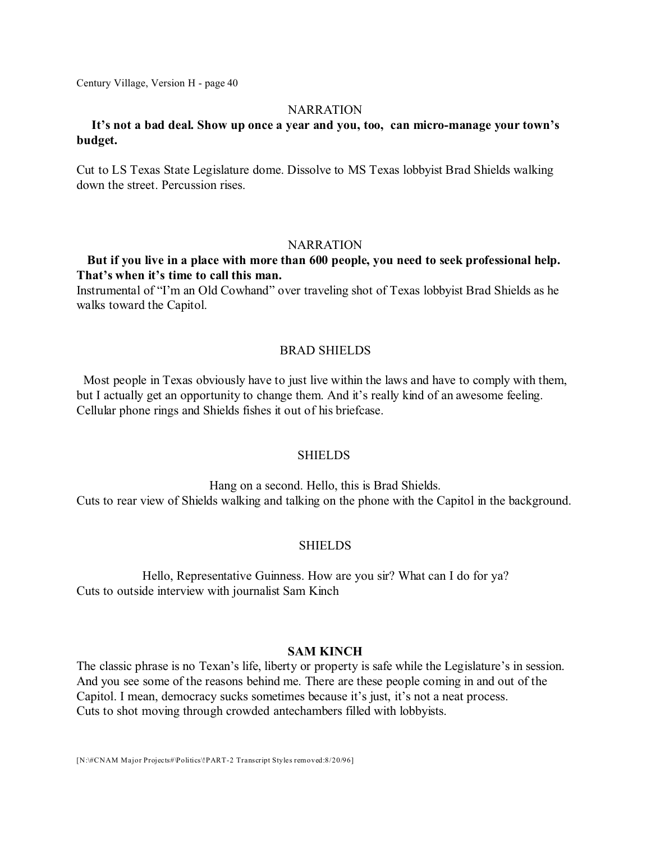#### **NARRATION**

# **It's not a bad deal. Show up once a year and you, too, can micro-manage your town's budget.**

Cut to LS Texas State Legislature dome. Dissolve to MS Texas lobbyist Brad Shields walking down the street. Percussion rises.

#### **NARRATION**

# **But if you live in a place with more than 600 people, you need to seek professional help. That's when it's time to call this man.**

Instrumental of "I'm an Old Cowhand" over traveling shot of Texas lobbyist Brad Shields as he walks toward the Capitol.

### BRAD SHIELDS

Most people in Texas obviously have to just live within the laws and have to comply with them, but I actually get an opportunity to change them. And it's really kind of an awesome feeling. Cellular phone rings and Shields fishes it out of his briefcase.

#### **SHIELDS**

Hang on a second. Hello, this is Brad Shields. Cuts to rear view of Shields walking and talking on the phone with the Capitol in the background.

### SHIELDS

Hello, Representative Guinness. How are you sir? What can I do for ya? Cuts to outside interview with journalist Sam Kinch

### **SAM KINCH**

The classic phrase is no Texan's life, liberty or property is safe while the Legislature's in session. And you see some of the reasons behind me. There are these people coming in and out of the Capitol. I mean, democracy sucks sometimes because it's just, it's not a neat process. Cuts to shot moving through crowded antechambers filled with lobbyists.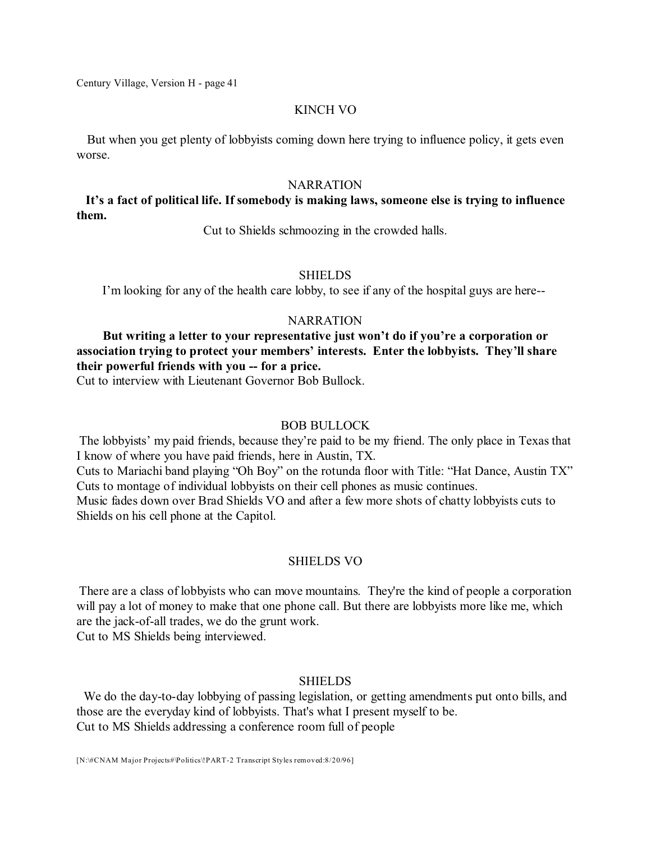#### KINCH VO

But when you get plenty of lobbyists coming down here trying to influence policy, it gets even worse.

#### **NARRATION**

# **It's a fact of political life. If somebody is making laws, someone else is trying to influence them.**

Cut to Shields schmoozing in the crowded halls.

#### SHIELDS

I'm looking for any of the health care lobby, to see if any of the hospital guys are here--

### NARRATION

**But writing a letter to your representative just won't do if you're a corporation or association trying to protect your members' interests. Enter the lobbyists. They'll share their powerful friends with you -- for a price.**

Cut to interview with Lieutenant Governor Bob Bullock.

### BOB BULLOCK

The lobbyists' my paid friends, because they're paid to be my friend. The only place in Texas that I know of where you have paid friends, here in Austin, TX.

Cuts to Mariachi band playing "Oh Boy" on the rotunda floor with Title: "Hat Dance, Austin TX" Cuts to montage of individual lobbyists on their cell phones as music continues.

Music fades down over Brad Shields VO and after a few more shots of chatty lobbyists cuts to Shields on his cell phone at the Capitol.

#### SHIELDS VO

There are a class of lobbyists who can move mountains. They're the kind of people a corporation will pay a lot of money to make that one phone call. But there are lobbyists more like me, which are the jack-of-all trades, we do the grunt work.

Cut to MS Shields being interviewed.

#### SHIELDS

We do the day-to-day lobbying of passing legislation, or getting amendments put onto bills, and those are the everyday kind of lobbyists. That's what I present myself to be. Cut to MS Shields addressing a conference room full of people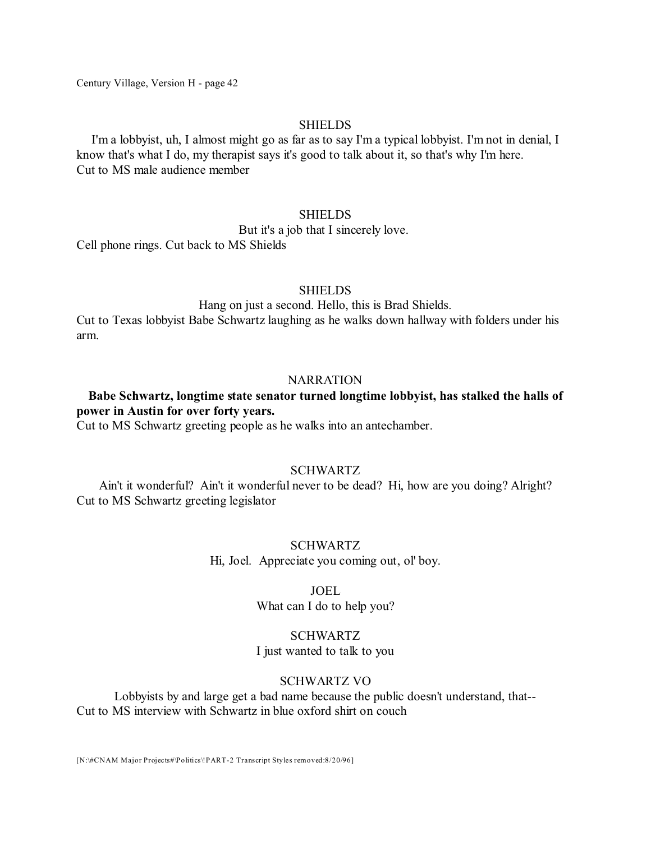#### SHIELDS

I'm a lobbyist, uh, I almost might go as far as to say I'm a typical lobbyist. I'm not in denial, I know that's what I do, my therapist says it's good to talk about it, so that's why I'm here. Cut to MS male audience member

### **SHIELDS**

But it's a job that I sincerely love.

Cell phone rings. Cut back to MS Shields

#### **SHIELDS**

Hang on just a second. Hello, this is Brad Shields.

Cut to Texas lobbyist Babe Schwartz laughing as he walks down hallway with folders under his arm.

#### **NARRATION**

# **Babe Schwartz, longtime state senator turned longtime lobbyist, has stalked the halls of power in Austin for over forty years.**

Cut to MS Schwartz greeting people as he walks into an antechamber.

#### SCHWARTZ

Ain't it wonderful? Ain't it wonderful never to be dead? Hi, how are you doing? Alright? Cut to MS Schwartz greeting legislator

#### SCHWARTZ

Hi, Joel. Appreciate you coming out, ol' boy.

#### JOEL

What can I do to help you?

#### SCHWARTZ

I just wanted to talk to you

#### SCHWARTZ VO

Lobbyists by and large get a bad name because the public doesn't understand, that-- Cut to MS interview with Schwartz in blue oxford shirt on couch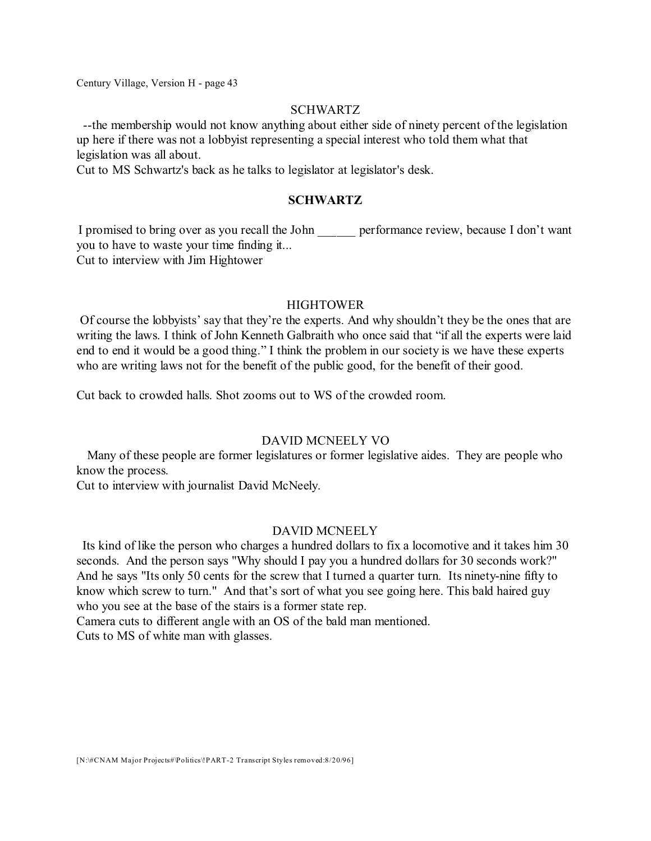### SCHWARTZ

--the membership would not know anything about either side of ninety percent of the legislation up here if there was not a lobbyist representing a special interest who told them what that legislation was all about.

Cut to MS Schwartz's back as he talks to legislator at legislator's desk.

# **SCHWARTZ**

I promised to bring over as you recall the John performance review, because I don't want you to have to waste your time finding it... Cut to interview with Jim Hightower

### **HIGHTOWER**

Of course the lobbyists' say that they're the experts. And why shouldn't they be the ones that are writing the laws. I think of John Kenneth Galbraith who once said that "if all the experts were laid end to end it would be a good thing." I think the problem in our society is we have these experts who are writing laws not for the benefit of the public good, for the benefit of their good.

Cut back to crowded halls. Shot zooms out to WS of the crowded room.

### DAVID MCNEELY VO

Many of these people are former legislatures or former legislative aides. They are people who know the process.

Cut to interview with journalist David McNeely.

### DAVID MCNEELY

Its kind of like the person who charges a hundred dollars to fix a locomotive and it takes him 30 seconds. And the person says "Why should I pay you a hundred dollars for 30 seconds work?" And he says "Its only 50 cents for the screw that I turned a quarter turn. Its ninety-nine fifty to know which screw to turn." And that's sort of what you see going here. This bald haired guy who you see at the base of the stairs is a former state rep.

Camera cuts to different angle with an OS of the bald man mentioned. Cuts to MS of white man with glasses.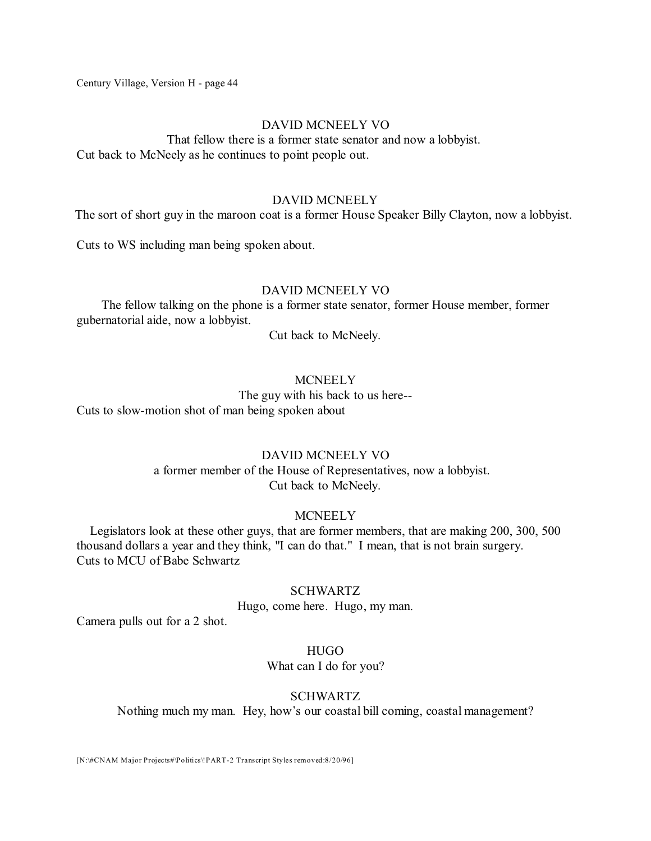### DAVID MCNEELY VO

That fellow there is a former state senator and now a lobbyist. Cut back to McNeely as he continues to point people out.

#### DAVID MCNEELY

The sort of short guy in the maroon coat is a former House Speaker Billy Clayton, now a lobbyist.

Cuts to WS including man being spoken about.

#### DAVID MCNEELY VO

The fellow talking on the phone is a former state senator, former House member, former gubernatorial aide, now a lobbyist.

Cut back to McNeely.

# **MCNEELY**

The guy with his back to us here-- Cuts to slow-motion shot of man being spoken about

### DAVID MCNEELY VO

a former member of the House of Representatives, now a lobbyist. Cut back to McNeely.

### MCNEELY

Legislators look at these other guys, that are former members, that are making 200, 300, 500 thousand dollars a year and they think, "I can do that." I mean, that is not brain surgery. Cuts to MCU of Babe Schwartz

### SCHWARTZ

Hugo, come here. Hugo, my man.

Camera pulls out for a 2 shot.

### HUGO

What can I do for you?

### SCHWARTZ

Nothing much my man. Hey, how's our coastal bill coming, coastal management?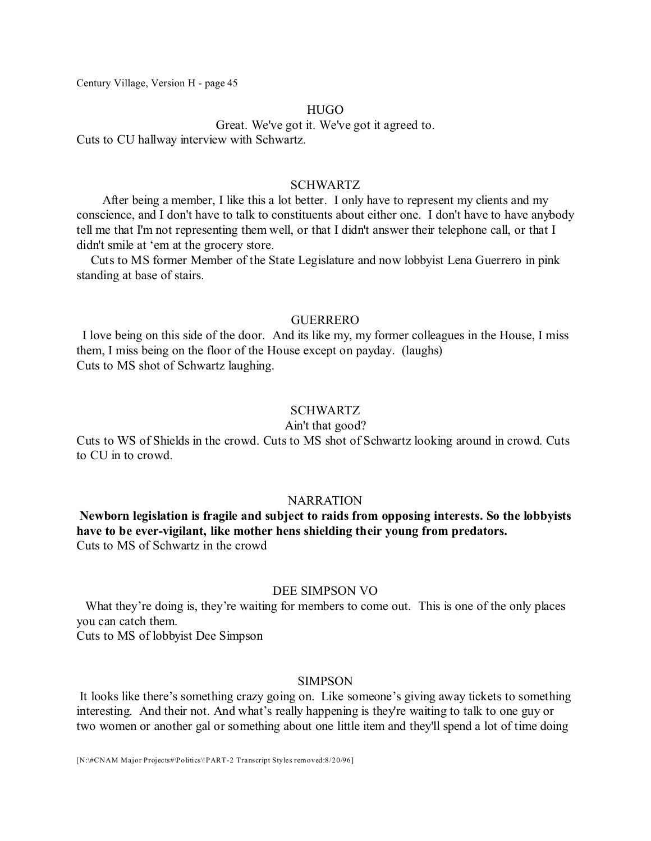#### **HUGO**

Great. We've got it. We've got it agreed to.

Cuts to CU hallway interview with Schwartz.

### SCHWARTZ

After being a member, I like this a lot better. I only have to represent my clients and my conscience, and I don't have to talk to constituents about either one. I don't have to have anybody tell me that I'm not representing them well, or that I didn't answer their telephone call, or that I didn't smile at 'em at the grocery store.

Cuts to MS former Member of the State Legislature and now lobbyist Lena Guerrero in pink standing at base of stairs.

#### **GUERRERO**

I love being on this side of the door. And its like my, my former colleagues in the House, I miss them, I miss being on the floor of the House except on payday. (laughs) Cuts to MS shot of Schwartz laughing.

### SCHWARTZ

#### Ain't that good?

Cuts to WS of Shields in the crowd. Cuts to MS shot of Schwartz looking around in crowd. Cuts to CU in to crowd.

#### **NARRATION**

**Newborn legislation is fragile and subject to raids from opposing interests. So the lobbyists have to be ever-vigilant, like mother hens shielding their young from predators.** Cuts to MS of Schwartz in the crowd

#### DEE SIMPSON VO

What they're doing is, they're waiting for members to come out. This is one of the only places you can catch them.

Cuts to MS of lobbyist Dee Simpson

#### SIMPSON

It looks like there's something crazy going on. Like someone's giving away tickets to something interesting. And their not. And what's really happening is they're waiting to talk to one guy or two women or another gal or something about one little item and they'll spend a lot of time doing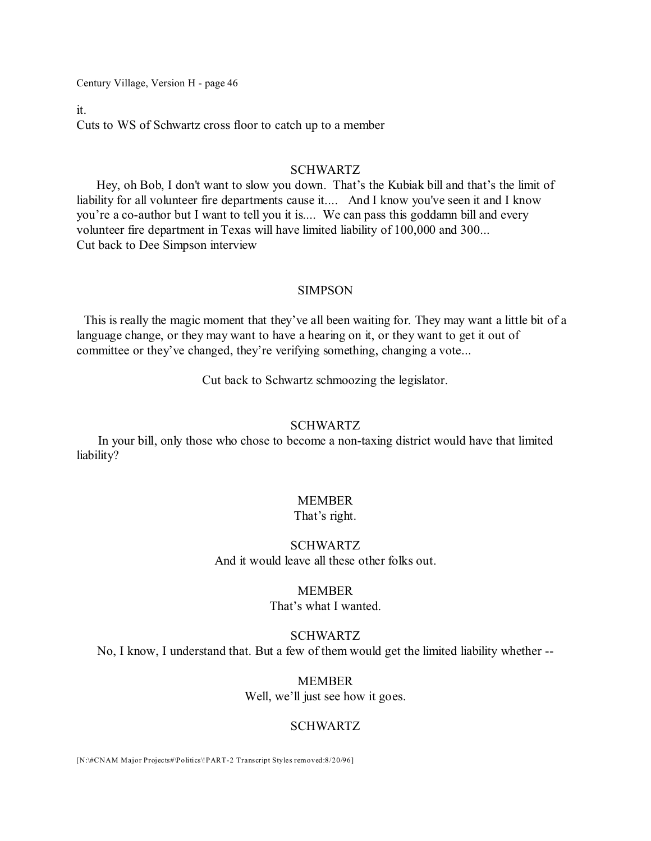it.

Cuts to WS of Schwartz cross floor to catch up to a member

### SCHWARTZ

Hey, oh Bob, I don't want to slow you down. That's the Kubiak bill and that's the limit of liability for all volunteer fire departments cause it.... And I know you've seen it and I know you're a co-author but I want to tell you it is.... We can pass this goddamn bill and every volunteer fire department in Texas will have limited liability of 100,000 and 300... Cut back to Dee Simpson interview

#### SIMPSON

This is really the magic moment that they've all been waiting for. They may want a little bit of a language change, or they may want to have a hearing on it, or they want to get it out of committee or they've changed, they're verifying something, changing a vote...

Cut back to Schwartz schmoozing the legislator.

#### SCHWARTZ

In your bill, only those who chose to become a non-taxing district would have that limited liability?

### MEMBER

### That's right.

### SCHWARTZ And it would leave all these other folks out.

#### MEMBER

That's what I wanted.

### SCHWARTZ

No, I know, I understand that. But a few of them would get the limited liability whether --

MEMBER Well, we'll just see how it goes.

### SCHWARTZ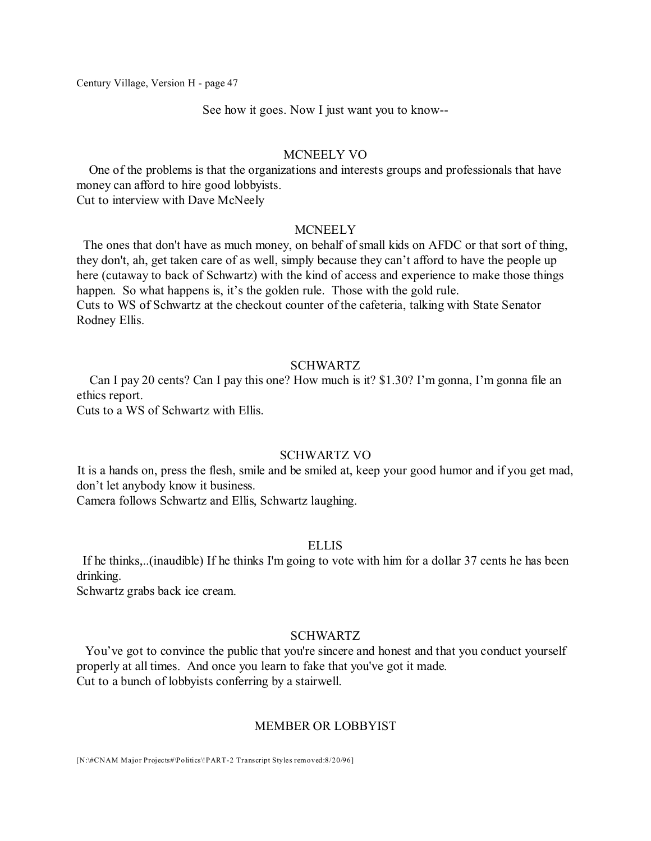See how it goes. Now I just want you to know--

#### MCNEELY VO

One of the problems is that the organizations and interests groups and professionals that have money can afford to hire good lobbyists.

Cut to interview with Dave McNeely

### **MCNEELY**

The ones that don't have as much money, on behalf of small kids on AFDC or that sort of thing, they don't, ah, get taken care of as well, simply because they can't afford to have the people up here (cutaway to back of Schwartz) with the kind of access and experience to make those things happen. So what happens is, it's the golden rule. Those with the gold rule. Cuts to WS of Schwartz at the checkout counter of the cafeteria, talking with State Senator Rodney Ellis.

### SCHWARTZ

Can I pay 20 cents? Can I pay this one? How much is it? \$1.30? I'm gonna, I'm gonna file an ethics report.

Cuts to a WS of Schwartz with Ellis.

# SCHWARTZ VO

It is a hands on, press the flesh, smile and be smiled at, keep your good humor and if you get mad, don't let anybody know it business.

Camera follows Schwartz and Ellis, Schwartz laughing.

### ELLIS

If he thinks,..(inaudible) If he thinks I'm going to vote with him for a dollar 37 cents he has been drinking.

Schwartz grabs back ice cream.

### SCHWARTZ

You've got to convince the public that you're sincere and honest and that you conduct yourself properly at all times. And once you learn to fake that you've got it made. Cut to a bunch of lobbyists conferring by a stairwell.

#### MEMBER OR LOBBYIST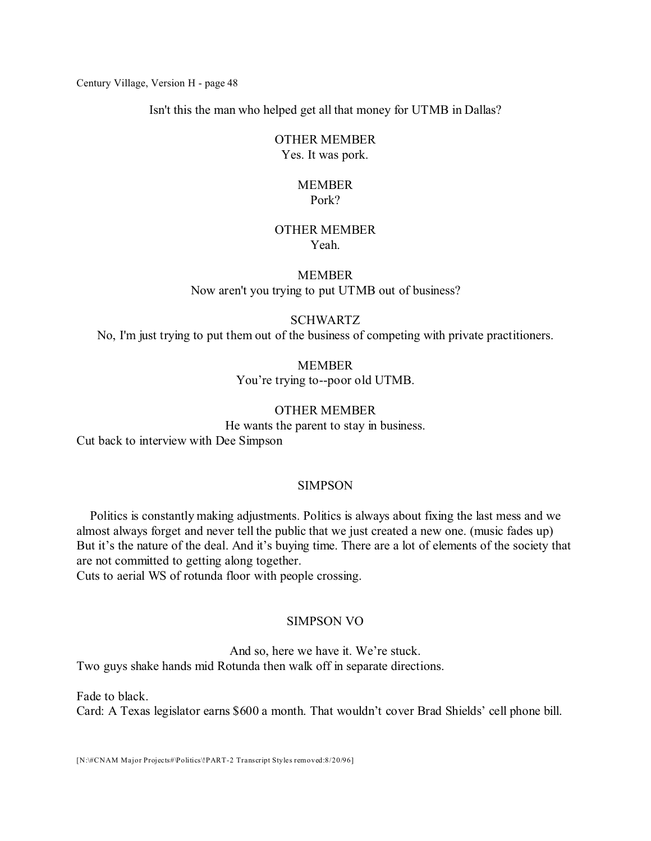Isn't this the man who helped get all that money for UTMB in Dallas?

# OTHER MEMBER

Yes. It was pork.

# MEMBER Pork?

#### OTHER MEMBER Yeah.

# MEMBER Now aren't you trying to put UTMB out of business?

# SCHWARTZ

No, I'm just trying to put them out of the business of competing with private practitioners.

MEMBER You're trying to--poor old UTMB.

# OTHER MEMBER

He wants the parent to stay in business. Cut back to interview with Dee Simpson

# SIMPSON

Politics is constantly making adjustments. Politics is always about fixing the last mess and we almost always forget and never tell the public that we just created a new one. (music fades up) But it's the nature of the deal. And it's buying time. There are a lot of elements of the society that are not committed to getting along together.

Cuts to aerial WS of rotunda floor with people crossing.

# SIMPSON VO

And so, here we have it. We're stuck. Two guys shake hands mid Rotunda then walk off in separate directions.

Fade to black. Card: A Texas legislator earns \$600 a month. That wouldn't cover Brad Shields' cell phone bill.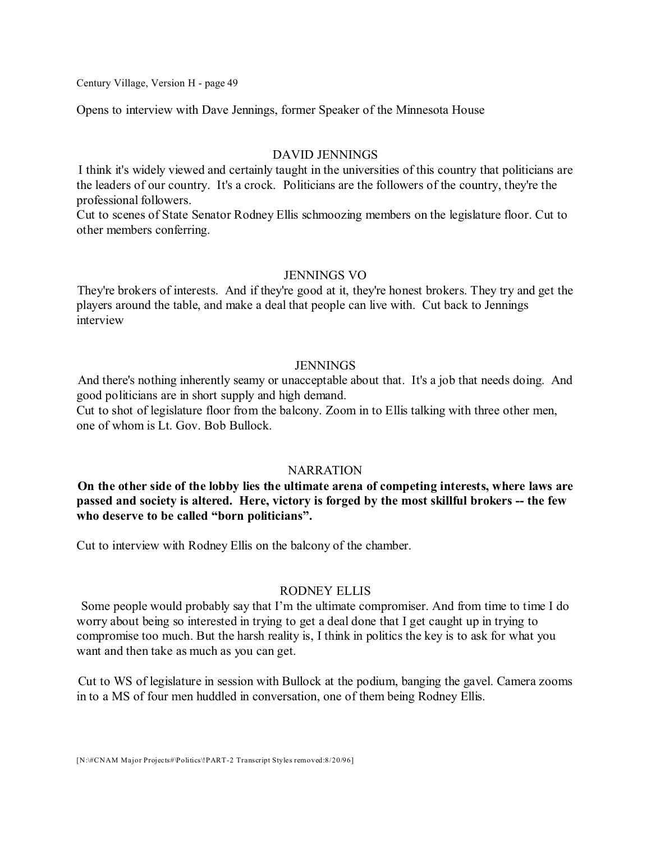Opens to interview with Dave Jennings, former Speaker of the Minnesota House

#### DAVID JENNINGS

I think it's widely viewed and certainly taught in the universities of this country that politicians are the leaders of our country. It's a crock. Politicians are the followers of the country, they're the professional followers.

Cut to scenes of State Senator Rodney Ellis schmoozing members on the legislature floor. Cut to other members conferring.

#### JENNINGS VO

They're brokers of interests. And if they're good at it, they're honest brokers. They try and get the players around the table, and make a deal that people can live with. Cut back to Jennings interview

#### JENNINGS

And there's nothing inherently seamy or unacceptable about that. It's a job that needs doing. And good politicians are in short supply and high demand.

Cut to shot of legislature floor from the balcony. Zoom in to Ellis talking with three other men, one of whom is Lt. Gov. Bob Bullock.

#### **NARRATION**

**On the other side of the lobby lies the ultimate arena of competing interests, where laws are passed and society is altered. Here, victory is forged by the most skillful brokers -- the few who deserve to be called "born politicians".**

Cut to interview with Rodney Ellis on the balcony of the chamber.

### RODNEY ELLIS

Some people would probably say that I'm the ultimate compromiser. And from time to time I do worry about being so interested in trying to get a deal done that I get caught up in trying to compromise too much. But the harsh reality is, I think in politics the key is to ask for what you want and then take as much as you can get.

Cut to WS of legislature in session with Bullock at the podium, banging the gavel. Camera zooms in to a MS of four men huddled in conversation, one of them being Rodney Ellis.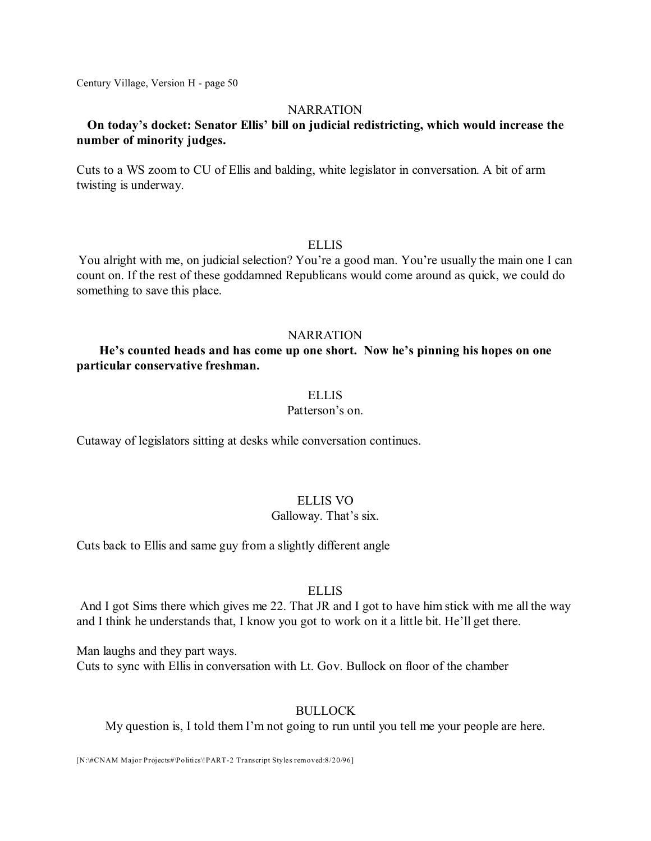### **NARRATION**

# **On today's docket: Senator Ellis' bill on judicial redistricting, which would increase the number of minority judges.**

Cuts to a WS zoom to CU of Ellis and balding, white legislator in conversation. A bit of arm twisting is underway.

### ELLIS

You alright with me, on judicial selection? You're a good man. You're usually the main one I can count on. If the rest of these goddamned Republicans would come around as quick, we could do something to save this place.

### **NARRATION**

# **He's counted heads and has come up one short. Now he's pinning his hopes on one particular conservative freshman.**

### **ELLIS**

# Patterson's on.

Cutaway of legislators sitting at desks while conversation continues.

### ELLIS VO

### Galloway. That's six.

Cuts back to Ellis and same guy from a slightly different angle

### ELLIS

And I got Sims there which gives me 22. That JR and I got to have him stick with me all the way and I think he understands that, I know you got to work on it a little bit. He'll get there.

Man laughs and they part ways.

Cuts to sync with Ellis in conversation with Lt. Gov. Bullock on floor of the chamber

# BULLOCK

My question is, I told them I'm not going to run until you tell me your people are here.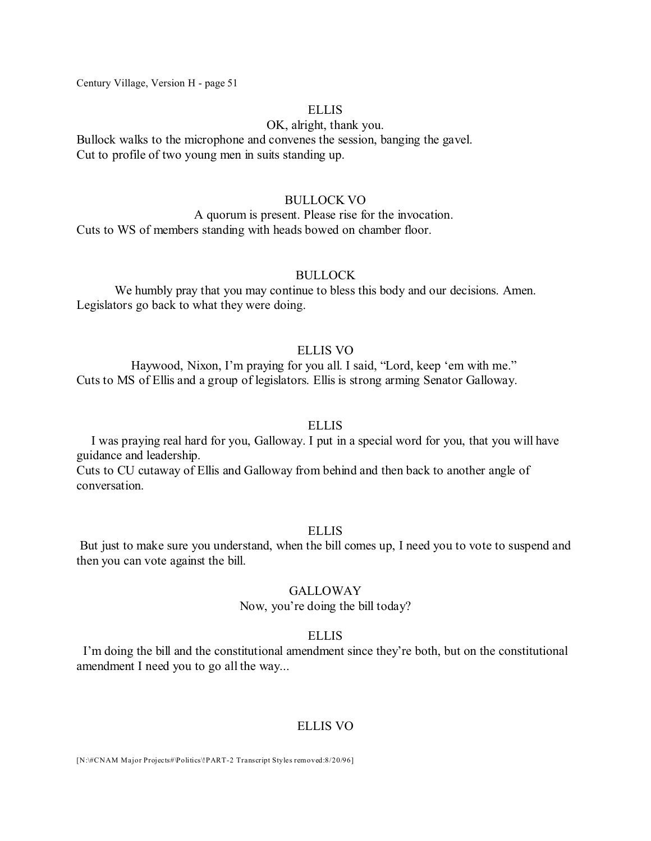#### **ELLIS**

#### OK, alright, thank you.

Bullock walks to the microphone and convenes the session, banging the gavel. Cut to profile of two young men in suits standing up.

#### BULLOCK VO

A quorum is present. Please rise for the invocation. Cuts to WS of members standing with heads bowed on chamber floor.

#### BULLOCK

We humbly pray that you may continue to bless this body and our decisions. Amen. Legislators go back to what they were doing.

### ELLIS VO

Haywood, Nixon, I'm praying for you all. I said, "Lord, keep 'em with me." Cuts to MS of Ellis and a group of legislators. Ellis is strong arming Senator Galloway.

### ELLIS

I was praying real hard for you, Galloway. I put in a special word for you, that you will have guidance and leadership.

Cuts to CU cutaway of Ellis and Galloway from behind and then back to another angle of conversation.

### ELLIS

But just to make sure you understand, when the bill comes up, I need you to vote to suspend and then you can vote against the bill.

### **GALLOWAY**

### Now, you're doing the bill today?

#### ELLIS

I'm doing the bill and the constitutional amendment since they're both, but on the constitutional amendment I need you to go all the way...

### ELLIS VO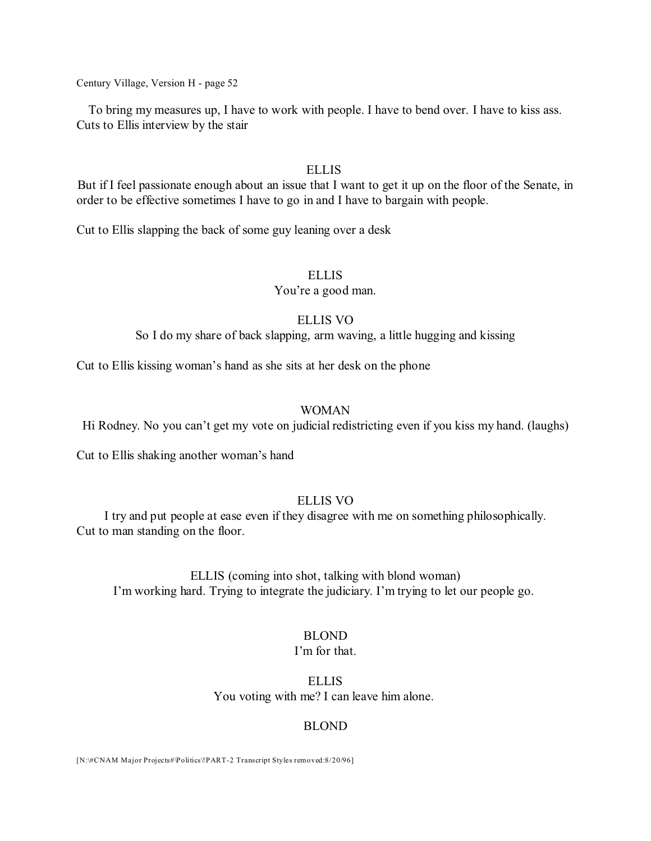To bring my measures up, I have to work with people. I have to bend over. I have to kiss ass. Cuts to Ellis interview by the stair

### ELLIS

But if I feel passionate enough about an issue that I want to get it up on the floor of the Senate, in order to be effective sometimes I have to go in and I have to bargain with people.

Cut to Ellis slapping the back of some guy leaning over a desk

### ELLIS

You're a good man.

### ELLIS VO

So I do my share of back slapping, arm waving, a little hugging and kissing

Cut to Ellis kissing woman's hand as she sits at her desk on the phone

### WOMAN

Hi Rodney. No you can't get my vote on judicial redistricting even if you kiss my hand. (laughs)

Cut to Ellis shaking another woman's hand

# ELLIS VO

I try and put people at ease even if they disagree with me on something philosophically. Cut to man standing on the floor.

ELLIS (coming into shot, talking with blond woman) I'm working hard. Trying to integrate the judiciary. I'm trying to let our people go.

# BLOND

### I'm for that.

ELLIS You voting with me? I can leave him alone.

### BLOND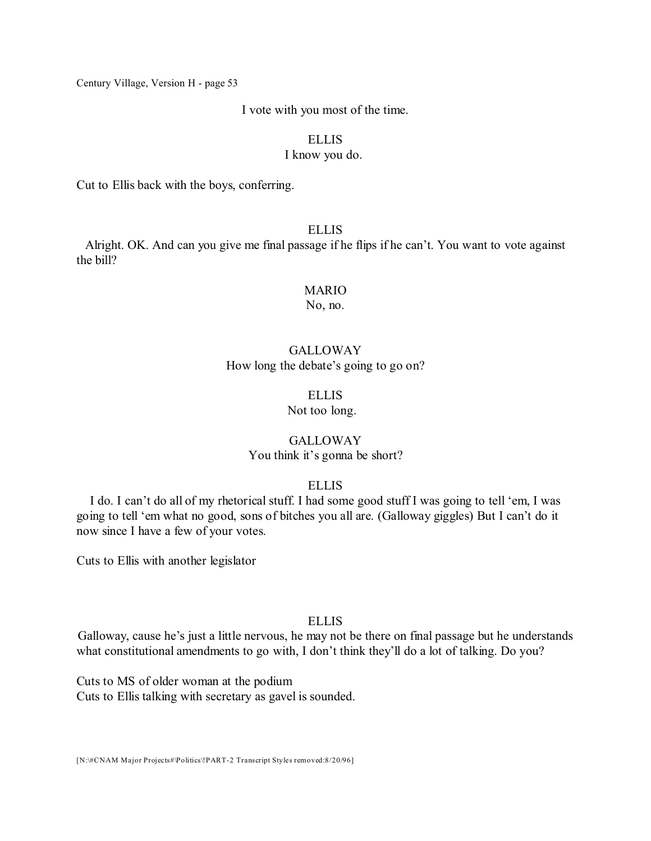#### I vote with you most of the time.

# ELLIS

### I know you do.

Cut to Ellis back with the boys, conferring.

# **ELLIS**

Alright. OK. And can you give me final passage if he flips if he can't. You want to vote against the bill?

# MARIO

No, no.

# GALLOWAY How long the debate's going to go on?

#### ELLIS

### Not too long.

### GALLOWAY You think it's gonna be short?

### ELLIS

I do. I can't do all of my rhetorical stuff. I had some good stuff I was going to tell 'em, I was going to tell 'em what no good, sons of bitches you all are. (Galloway giggles) But I can't do it now since I have a few of your votes.

Cuts to Ellis with another legislator

### ELLIS

Galloway, cause he's just a little nervous, he may not be there on final passage but he understands what constitutional amendments to go with, I don't think they'll do a lot of talking. Do you?

Cuts to MS of older woman at the podium Cuts to Ellis talking with secretary as gavel is sounded.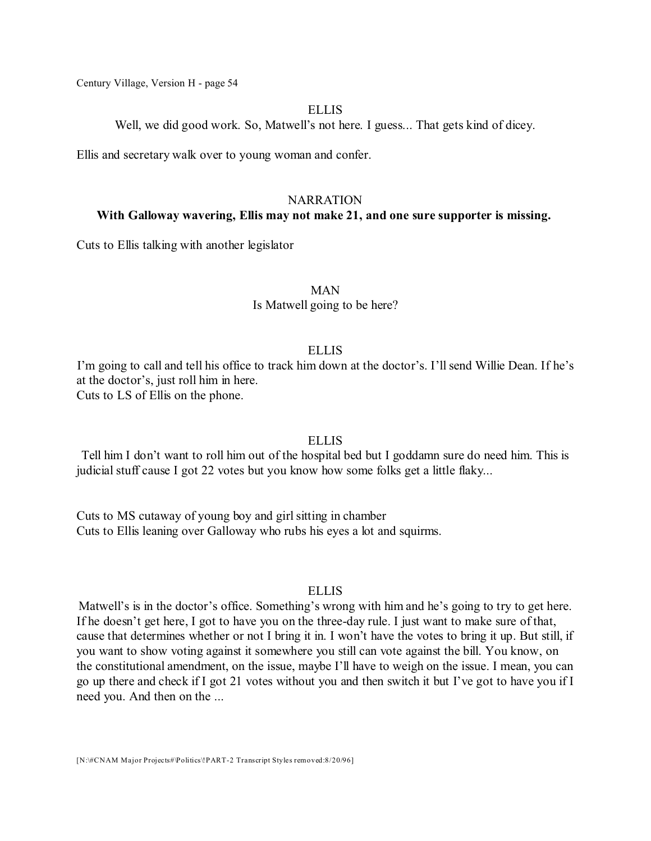#### ELLIS

Well, we did good work. So, Matwell's not here. I guess... That gets kind of dicey.

Ellis and secretary walk over to young woman and confer.

# NARRATION

#### **With Galloway wavering, Ellis may not make 21, and one sure supporter is missing.**

Cuts to Ellis talking with another legislator

MAN

Is Matwell going to be here?

#### ELLIS

I'm going to call and tell his office to track him down at the doctor's. I'll send Willie Dean. If he's at the doctor's, just roll him in here. Cuts to LS of Ellis on the phone.

Tell him I don't want to roll him out of the hospital bed but I goddamn sure do need him. This is judicial stuff cause I got 22 votes but you know how some folks get a little flaky...

**ELLIS** 

Cuts to MS cutaway of young boy and girl sitting in chamber Cuts to Ellis leaning over Galloway who rubs his eyes a lot and squirms.

#### ELLIS

Matwell's is in the doctor's office. Something's wrong with him and he's going to try to get here. If he doesn't get here, I got to have you on the three-day rule. I just want to make sure of that, cause that determines whether or not I bring it in. I won't have the votes to bring it up. But still, if you want to show voting against it somewhere you still can vote against the bill. You know, on the constitutional amendment, on the issue, maybe I'll have to weigh on the issue. I mean, you can go up there and check if I got 21 votes without you and then switch it but I've got to have you if I need you. And then on the ...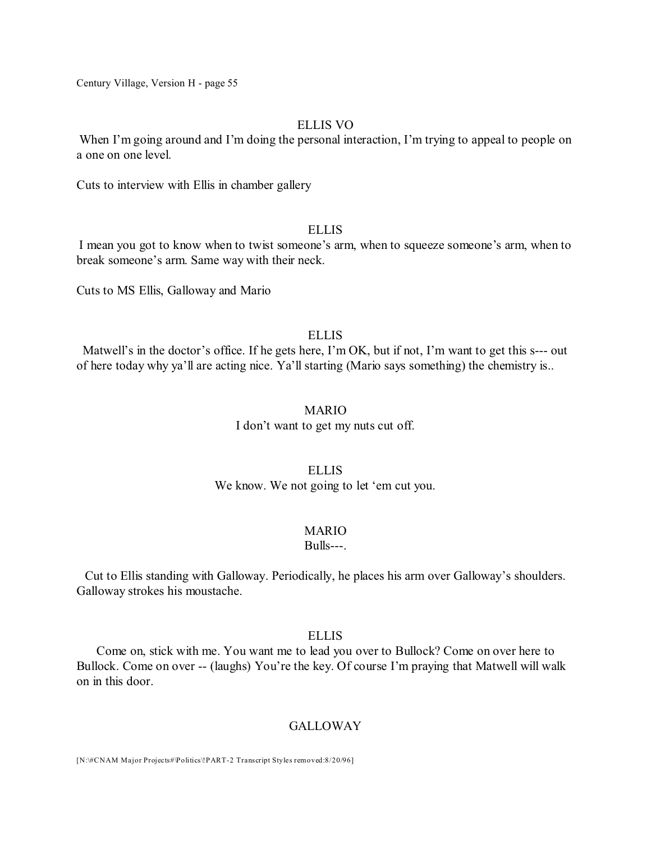# ELLIS VO

When I'm going around and I'm doing the personal interaction, I'm trying to appeal to people on a one on one level.

Cuts to interview with Ellis in chamber gallery

### **ELLIS**

I mean you got to know when to twist someone's arm, when to squeeze someone's arm, when to break someone's arm. Same way with their neck.

Cuts to MS Ellis, Galloway and Mario

### **ELLIS**

Matwell's in the doctor's office. If he gets here, I'm OK, but if not, I'm want to get this s--- out of here today why ya'll are acting nice. Ya'll starting (Mario says something) the chemistry is..

### MARIO

I don't want to get my nuts cut off.

### ELLIS We know. We not going to let 'em cut you.

#### MARIO

Bulls---.

Cut to Ellis standing with Galloway. Periodically, he places his arm over Galloway's shoulders. Galloway strokes his moustache.

### ELLIS

Come on, stick with me. You want me to lead you over to Bullock? Come on over here to Bullock. Come on over -- (laughs) You're the key. Of course I'm praying that Matwell will walk on in this door.

#### **GALLOWAY**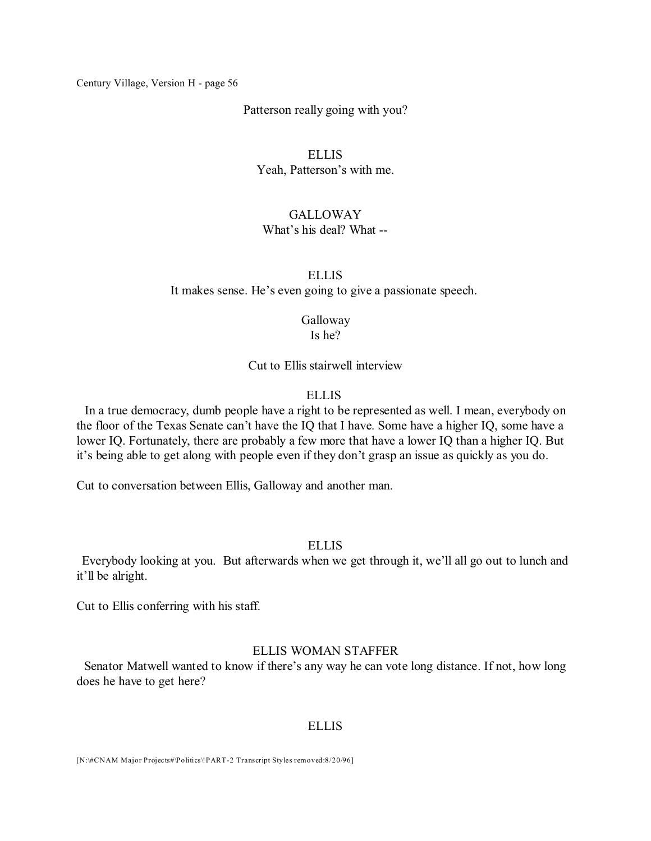Patterson really going with you?

### ELLIS

Yeah, Patterson's with me.

### **GALLOWAY**

# What's his deal? What --

# ELLIS It makes sense. He's even going to give a passionate speech.

Galloway Is he?

Cut to Ellis stairwell interview

### ELLIS

In a true democracy, dumb people have a right to be represented as well. I mean, everybody on the floor of the Texas Senate can't have the IQ that I have. Some have a higher IQ, some have a lower IQ. Fortunately, there are probably a few more that have a lower IQ than a higher IQ. But it's being able to get along with people even if they don't grasp an issue as quickly as you do.

Cut to conversation between Ellis, Galloway and another man.

### ELLIS

Everybody looking at you. But afterwards when we get through it, we'll all go out to lunch and it'll be alright.

Cut to Ellis conferring with his staff.

### ELLIS WOMAN STAFFER

Senator Matwell wanted to know if there's any way he can vote long distance. If not, how long does he have to get here?

### **ELLIS**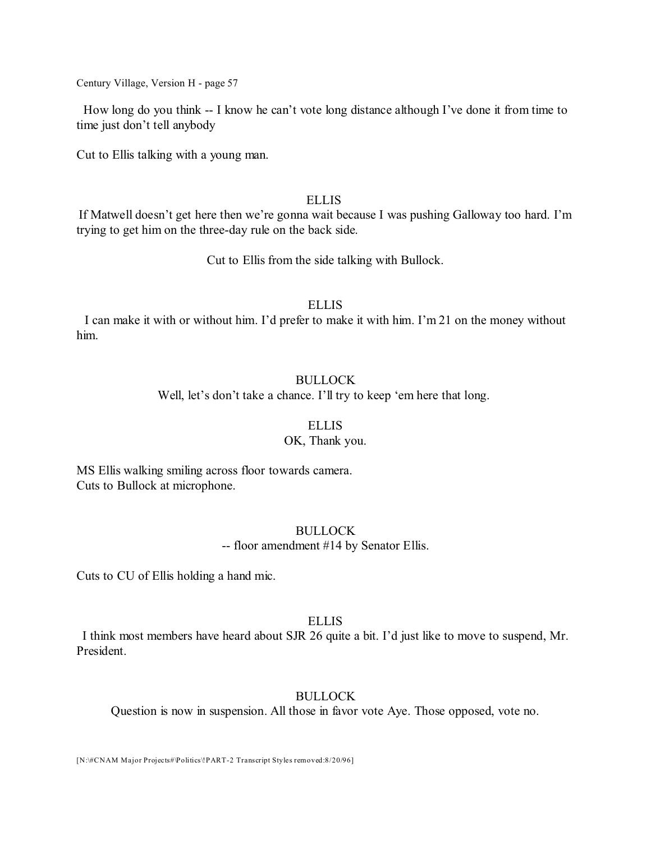How long do you think -- I know he can't vote long distance although I've done it from time to time just don't tell anybody

Cut to Ellis talking with a young man.

### **ELLIS**

If Matwell doesn't get here then we're gonna wait because I was pushing Galloway too hard. I'm trying to get him on the three-day rule on the back side.

Cut to Ellis from the side talking with Bullock.

#### ELLIS

I can make it with or without him. I'd prefer to make it with him. I'm 21 on the money without him.

### BULLOCK

Well, let's don't take a chance. I'll try to keep 'em here that long.

### ELLIS

### OK, Thank you.

MS Ellis walking smiling across floor towards camera. Cuts to Bullock at microphone.

### BULLOCK

-- floor amendment #14 by Senator Ellis.

Cuts to CU of Ellis holding a hand mic.

### **ELLIS**

I think most members have heard about SJR 26 quite a bit. I'd just like to move to suspend, Mr. President.

# **BULLOCK**

Question is now in suspension. All those in favor vote Aye. Those opposed, vote no.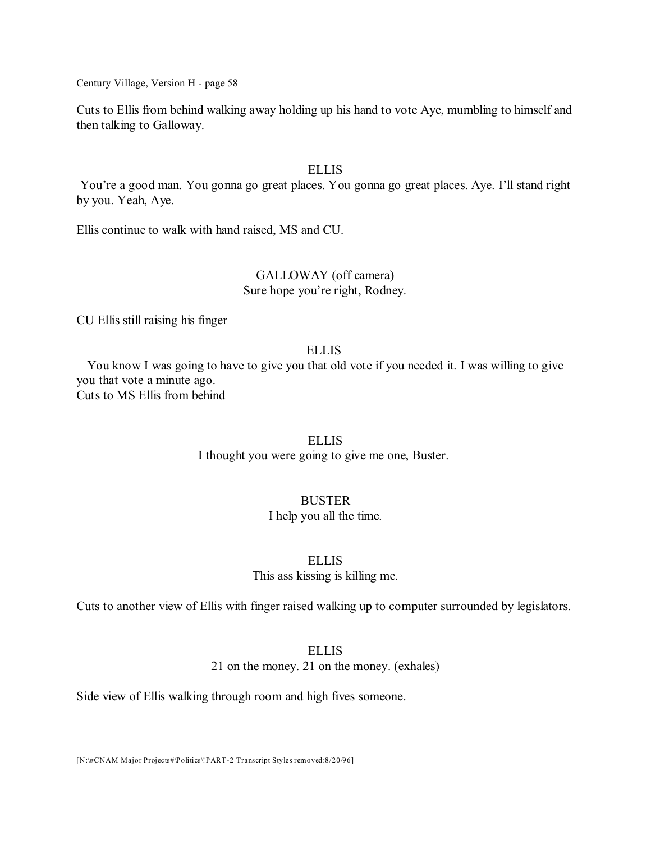Cuts to Ellis from behind walking away holding up his hand to vote Aye, mumbling to himself and then talking to Galloway.

### ELLIS

You're a good man. You gonna go great places. You gonna go great places. Aye. I'll stand right by you. Yeah, Aye.

Ellis continue to walk with hand raised, MS and CU.

# GALLOWAY (off camera) Sure hope you're right, Rodney.

CU Ellis still raising his finger

# ELLIS

You know I was going to have to give you that old vote if you needed it. I was willing to give you that vote a minute ago. Cuts to MS Ellis from behind

### **ELLIS**

I thought you were going to give me one, Buster.

# BUSTER

I help you all the time.

#### ELLIS

This ass kissing is killing me.

Cuts to another view of Ellis with finger raised walking up to computer surrounded by legislators.

# ELLIS

21 on the money. 21 on the money. (exhales)

Side view of Ellis walking through room and high fives someone.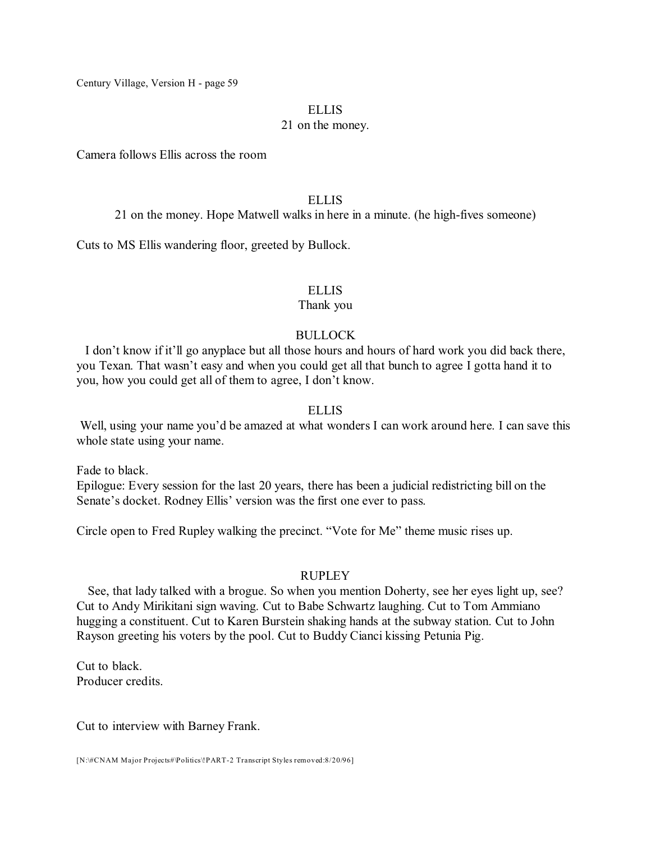#### **ELLIS**

### 21 on the money.

Camera follows Ellis across the room

### **ELLIS**

21 on the money. Hope Matwell walks in here in a minute. (he high-fives someone)

Cuts to MS Ellis wandering floor, greeted by Bullock.

### ELLIS

### Thank you

# BULLOCK

I don't know if it'll go anyplace but all those hours and hours of hard work you did back there, you Texan. That wasn't easy and when you could get all that bunch to agree I gotta hand it to you, how you could get all of them to agree, I don't know.

### ELLIS

Well, using your name you'd be amazed at what wonders I can work around here. I can save this whole state using your name.

Fade to black. Epilogue: Every session for the last 20 years, there has been a judicial redistricting bill on the Senate's docket. Rodney Ellis' version was the first one ever to pass.

Circle open to Fred Rupley walking the precinct. "Vote for Me" theme music rises up.

# RUPLEY

See, that lady talked with a brogue. So when you mention Doherty, see her eyes light up, see? Cut to Andy Mirikitani sign waving. Cut to Babe Schwartz laughing. Cut to Tom Ammiano hugging a constituent. Cut to Karen Burstein shaking hands at the subway station. Cut to John Rayson greeting his voters by the pool. Cut to Buddy Cianci kissing Petunia Pig.

Cut to black. Producer credits.

Cut to interview with Barney Frank.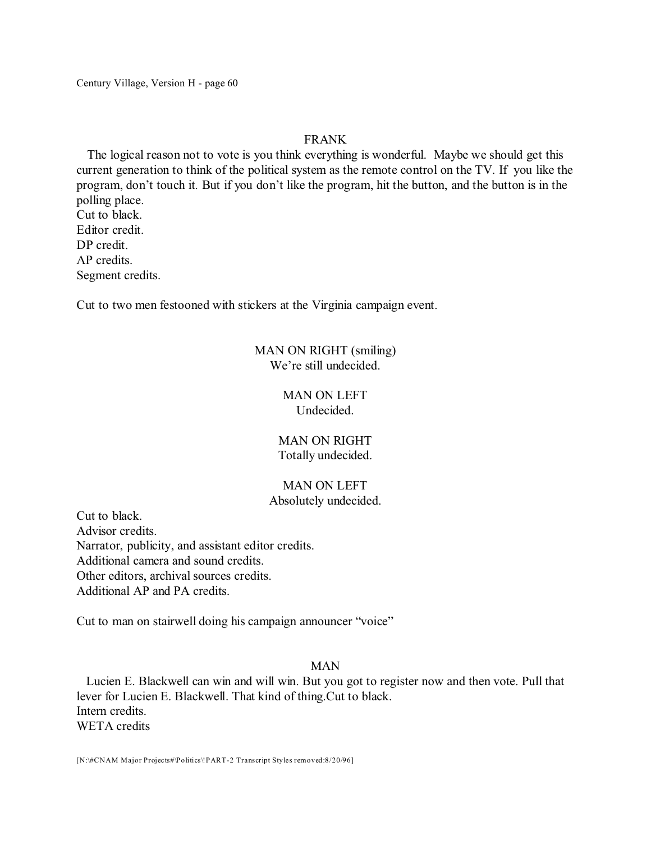# FRANK

The logical reason not to vote is you think everything is wonderful. Maybe we should get this current generation to think of the political system as the remote control on the TV. If you like the program, don't touch it. But if you don't like the program, hit the button, and the button is in the polling place. Cut to black.

Editor credit. DP credit. AP credits. Segment credits.

Cut to two men festooned with stickers at the Virginia campaign event.

# MAN ON RIGHT (smiling) We're still undecided.

# MAN ON LEFT Undecided.

# MAN ON RIGHT Totally undecided.

### MAN ON LEFT Absolutely undecided.

Cut to black. Advisor credits. Narrator, publicity, and assistant editor credits. Additional camera and sound credits. Other editors, archival sources credits. Additional AP and PA credits.

Cut to man on stairwell doing his campaign announcer "voice"

# MAN

Lucien E. Blackwell can win and will win. But you got to register now and then vote. Pull that lever for Lucien E. Blackwell. That kind of thing.Cut to black. Intern credits. WETA credits